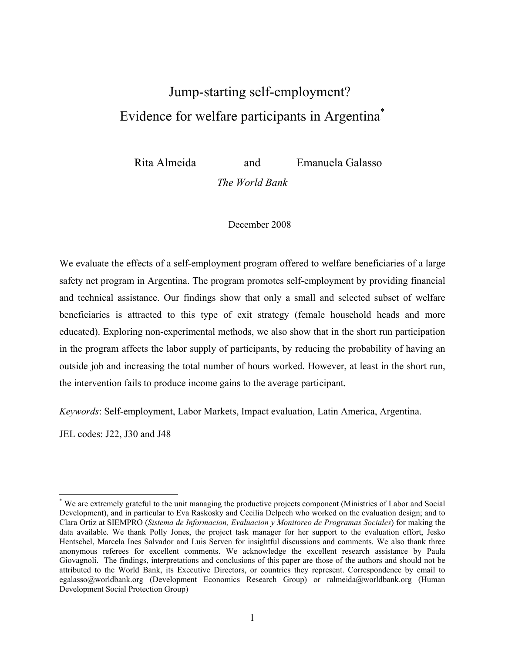# Jump-starting self-employment? Evidence for welfare participants in Argentina\*

Rita Almeida and Emanuela Galasso

*The World Bank*

December 2008

We evaluate the effects of a self-employment program offered to welfare beneficiaries of a large safety net program in Argentina. The program promotes self-employment by providing financial and technical assistance. Our findings show that only a small and selected subset of welfare beneficiaries is attracted to this type of exit strategy (female household heads and more educated). Exploring non-experimental methods, we also show that in the short run participation in the program affects the labor supply of participants, by reducing the probability of having an outside job and increasing the total number of hours worked. However, at least in the short run, the intervention fails to produce income gains to the average participant.

*Keywords*: Self-employment, Labor Markets, Impact evaluation, Latin America, Argentina.

JEL codes: J22, J30 and J48

 $\overline{a}$ 

<sup>\*</sup> We are extremely grateful to the unit managing the productive projects component (Ministries of Labor and Social Development), and in particular to Eva Raskosky and Cecilia Delpech who worked on the evaluation design; and to Clara Ortiz at SIEMPRO (*Sistema de Informacion, Evaluacion y Monitoreo de Programas Sociales*) for making the data available. We thank Polly Jones, the project task manager for her support to the evaluation effort, Jesko Hentschel, Marcela Ines Salvador and Luis Serven for insightful discussions and comments. We also thank three anonymous referees for excellent comments. We acknowledge the excellent research assistance by Paula Giovagnoli. The findings, interpretations and conclusions of this paper are those of the authors and should not be attributed to the World Bank, its Executive Directors, or countries they represent. Correspondence by email to egalasso@worldbank.org (Development Economics Research Group) or ralmeida@worldbank.org (Human Development Social Protection Group)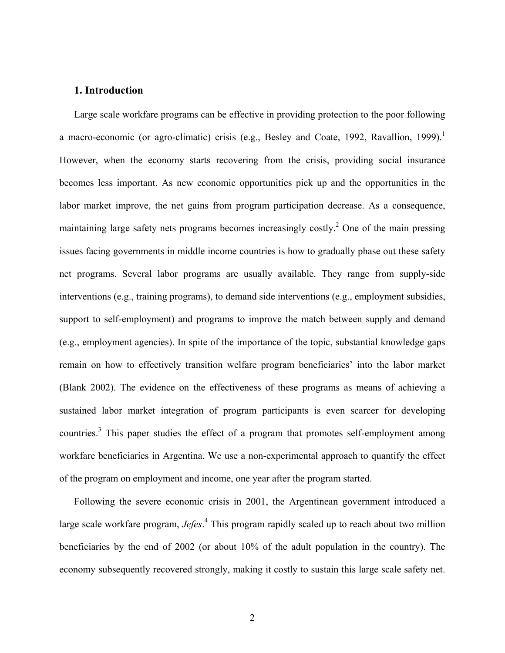## **1. Introduction**

Large scale workfare programs can be effective in providing protection to the poor following a macro-economic (or agro-climatic) crisis (e.g., Besley and Coate, 1992, Ravallion, 1999).<sup>1</sup> However, when the economy starts recovering from the crisis, providing social insurance becomes less important. As new economic opportunities pick up and the opportunities in the labor market improve, the net gains from program participation decrease. As a consequence, maintaining large safety nets programs becomes increasingly costly.<sup>2</sup> One of the main pressing issues facing governments in middle income countries is how to gradually phase out these safety net programs. Several labor programs are usually available. They range from supply-side interventions (e.g., training programs), to demand side interventions (e.g., employment subsidies, support to self-employment) and programs to improve the match between supply and demand (e.g., employment agencies). In spite of the importance of the topic, substantial knowledge gaps remain on how to effectively transition welfare program beneficiaries' into the labor market (Blank 2002). The evidence on the effectiveness of these programs as means of achieving a sustained labor market integration of program participants is even scarcer for developing countries.<sup>3</sup> This paper studies the effect of a program that promotes self-employment among workfare beneficiaries in Argentina. We use a non-experimental approach to quantify the effect of the program on employment and income, one year after the program started.

Following the severe economic crisis in 2001, the Argentinean government introduced a large scale workfare program, *Jefes*. 4 This program rapidly scaled up to reach about two million beneficiaries by the end of 2002 (or about 10% of the adult population in the country). The economy subsequently recovered strongly, making it costly to sustain this large scale safety net.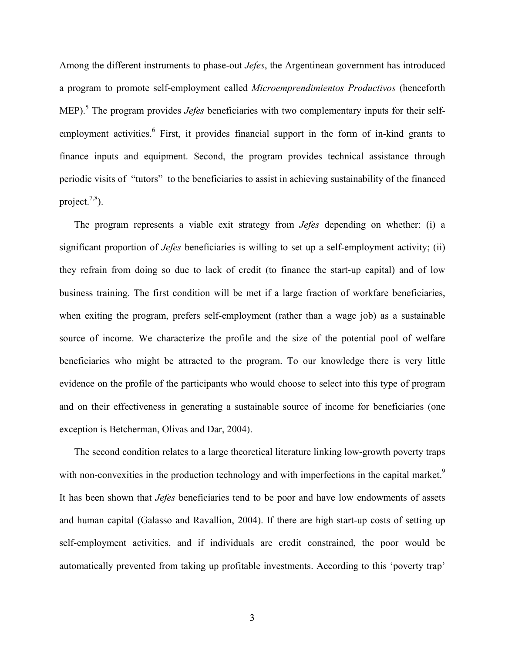Among the different instruments to phase-out *Jefes*, the Argentinean government has introduced a program to promote self-employment called *Microemprendimientos Productivos* (henceforth MEP).<sup>5</sup> The program provides *Jefes* beneficiaries with two complementary inputs for their selfemployment activities.<sup>6</sup> First, it provides financial support in the form of in-kind grants to finance inputs and equipment. Second, the program provides technical assistance through periodic visits of "tutors" to the beneficiaries to assist in achieving sustainability of the financed project. $^{7,8}$ ).

The program represents a viable exit strategy from *Jefes* depending on whether: (i) a significant proportion of *Jefes* beneficiaries is willing to set up a self-employment activity; (ii) they refrain from doing so due to lack of credit (to finance the start-up capital) and of low business training. The first condition will be met if a large fraction of workfare beneficiaries, when exiting the program, prefers self-employment (rather than a wage job) as a sustainable source of income. We characterize the profile and the size of the potential pool of welfare beneficiaries who might be attracted to the program. To our knowledge there is very little evidence on the profile of the participants who would choose to select into this type of program and on their effectiveness in generating a sustainable source of income for beneficiaries (one exception is Betcherman, Olivas and Dar, 2004).

The second condition relates to a large theoretical literature linking low-growth poverty traps with non-convexities in the production technology and with imperfections in the capital market.<sup>9</sup> It has been shown that *Jefes* beneficiaries tend to be poor and have low endowments of assets and human capital (Galasso and Ravallion, 2004). If there are high start-up costs of setting up self-employment activities, and if individuals are credit constrained, the poor would be automatically prevented from taking up profitable investments. According to this 'poverty trap'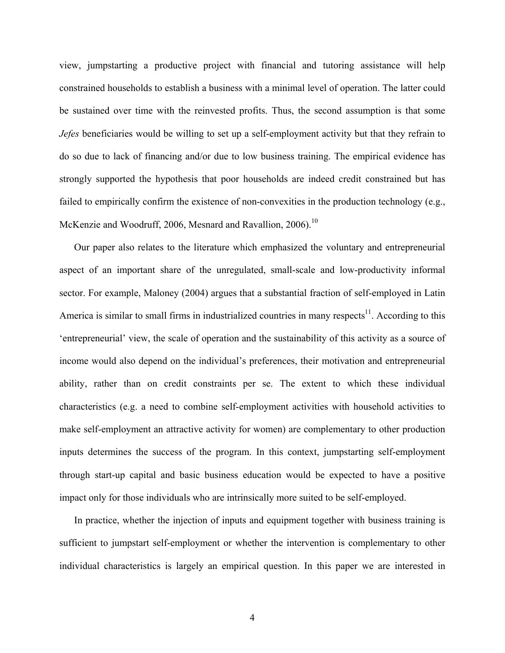view, jumpstarting a productive project with financial and tutoring assistance will help constrained households to establish a business with a minimal level of operation. The latter could be sustained over time with the reinvested profits. Thus, the second assumption is that some *Jefes* beneficiaries would be willing to set up a self-employment activity but that they refrain to do so due to lack of financing and/or due to low business training. The empirical evidence has strongly supported the hypothesis that poor households are indeed credit constrained but has failed to empirically confirm the existence of non-convexities in the production technology (e.g., McKenzie and Woodruff, 2006, Mesnard and Ravallion, 2006).<sup>10</sup>

Our paper also relates to the literature which emphasized the voluntary and entrepreneurial aspect of an important share of the unregulated, small-scale and low-productivity informal sector. For example, Maloney (2004) argues that a substantial fraction of self-employed in Latin America is similar to small firms in industrialized countries in many respects $11$ . According to this 'entrepreneurial' view, the scale of operation and the sustainability of this activity as a source of income would also depend on the individual's preferences, their motivation and entrepreneurial ability, rather than on credit constraints per se. The extent to which these individual characteristics (e.g. a need to combine self-employment activities with household activities to make self-employment an attractive activity for women) are complementary to other production inputs determines the success of the program. In this context, jumpstarting self-employment through start-up capital and basic business education would be expected to have a positive impact only for those individuals who are intrinsically more suited to be self-employed.

In practice, whether the injection of inputs and equipment together with business training is sufficient to jumpstart self-employment or whether the intervention is complementary to other individual characteristics is largely an empirical question. In this paper we are interested in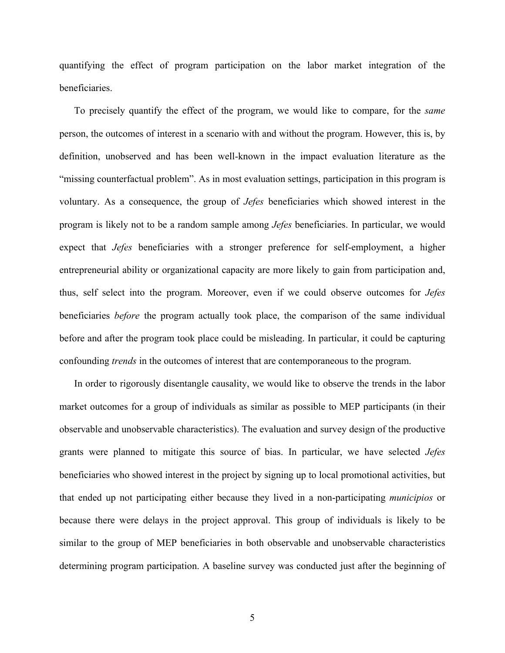quantifying the effect of program participation on the labor market integration of the beneficiaries.

To precisely quantify the effect of the program, we would like to compare, for the *same* person, the outcomes of interest in a scenario with and without the program. However, this is, by definition, unobserved and has been well-known in the impact evaluation literature as the "missing counterfactual problem". As in most evaluation settings, participation in this program is voluntary. As a consequence, the group of *Jefes* beneficiaries which showed interest in the program is likely not to be a random sample among *Jefes* beneficiaries. In particular, we would expect that *Jefes* beneficiaries with a stronger preference for self-employment, a higher entrepreneurial ability or organizational capacity are more likely to gain from participation and, thus, self select into the program. Moreover, even if we could observe outcomes for *Jefes* beneficiaries *before* the program actually took place, the comparison of the same individual before and after the program took place could be misleading. In particular, it could be capturing confounding *trends* in the outcomes of interest that are contemporaneous to the program.

In order to rigorously disentangle causality, we would like to observe the trends in the labor market outcomes for a group of individuals as similar as possible to MEP participants (in their observable and unobservable characteristics). The evaluation and survey design of the productive grants were planned to mitigate this source of bias. In particular, we have selected *Jefes* beneficiaries who showed interest in the project by signing up to local promotional activities, but that ended up not participating either because they lived in a non-participating *municipios* or because there were delays in the project approval. This group of individuals is likely to be similar to the group of MEP beneficiaries in both observable and unobservable characteristics determining program participation. A baseline survey was conducted just after the beginning of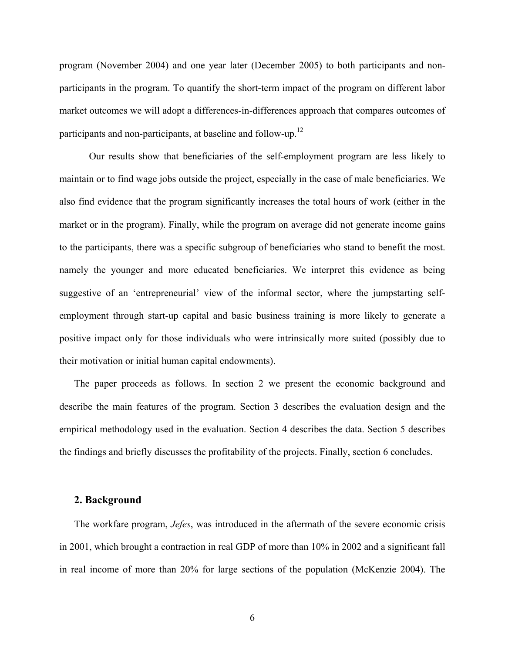program (November 2004) and one year later (December 2005) to both participants and nonparticipants in the program. To quantify the short-term impact of the program on different labor market outcomes we will adopt a differences-in-differences approach that compares outcomes of participants and non-participants, at baseline and follow-up.<sup>12</sup>

Our results show that beneficiaries of the self-employment program are less likely to maintain or to find wage jobs outside the project, especially in the case of male beneficiaries. We also find evidence that the program significantly increases the total hours of work (either in the market or in the program). Finally, while the program on average did not generate income gains to the participants, there was a specific subgroup of beneficiaries who stand to benefit the most. namely the younger and more educated beneficiaries. We interpret this evidence as being suggestive of an 'entrepreneurial' view of the informal sector, where the jumpstarting selfemployment through start-up capital and basic business training is more likely to generate a positive impact only for those individuals who were intrinsically more suited (possibly due to their motivation or initial human capital endowments).

The paper proceeds as follows. In section 2 we present the economic background and describe the main features of the program. Section 3 describes the evaluation design and the empirical methodology used in the evaluation. Section 4 describes the data. Section 5 describes the findings and briefly discusses the profitability of the projects. Finally, section 6 concludes.

#### **2. Background**

The workfare program, *Jefes*, was introduced in the aftermath of the severe economic crisis in 2001, which brought a contraction in real GDP of more than 10% in 2002 and a significant fall in real income of more than 20% for large sections of the population (McKenzie 2004). The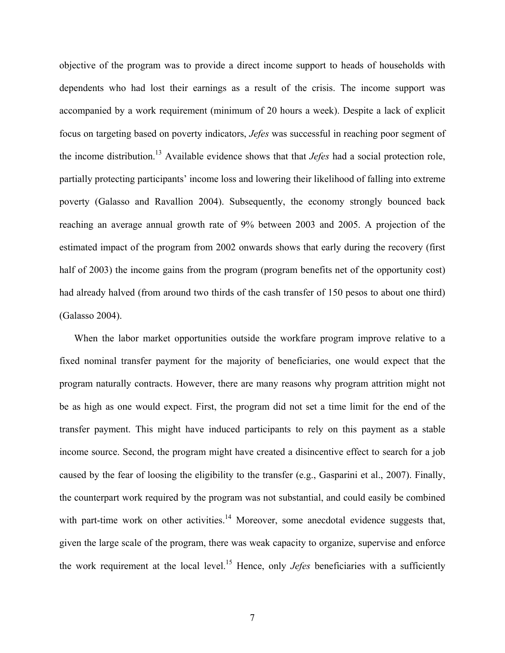objective of the program was to provide a direct income support to heads of households with dependents who had lost their earnings as a result of the crisis. The income support was accompanied by a work requirement (minimum of 20 hours a week). Despite a lack of explicit focus on targeting based on poverty indicators, *Jefes* was successful in reaching poor segment of the income distribution.13 Available evidence shows that that *Jefes* had a social protection role, partially protecting participants' income loss and lowering their likelihood of falling into extreme poverty (Galasso and Ravallion 2004). Subsequently, the economy strongly bounced back reaching an average annual growth rate of 9% between 2003 and 2005. A projection of the estimated impact of the program from 2002 onwards shows that early during the recovery (first half of 2003) the income gains from the program (program benefits net of the opportunity cost) had already halved (from around two thirds of the cash transfer of 150 pesos to about one third) (Galasso 2004).

When the labor market opportunities outside the workfare program improve relative to a fixed nominal transfer payment for the majority of beneficiaries, one would expect that the program naturally contracts. However, there are many reasons why program attrition might not be as high as one would expect. First, the program did not set a time limit for the end of the transfer payment. This might have induced participants to rely on this payment as a stable income source. Second, the program might have created a disincentive effect to search for a job caused by the fear of loosing the eligibility to the transfer (e.g., Gasparini et al., 2007). Finally, the counterpart work required by the program was not substantial, and could easily be combined with part-time work on other activities.<sup>14</sup> Moreover, some anecdotal evidence suggests that, given the large scale of the program, there was weak capacity to organize, supervise and enforce the work requirement at the local level.15 Hence, only *Jefes* beneficiaries with a sufficiently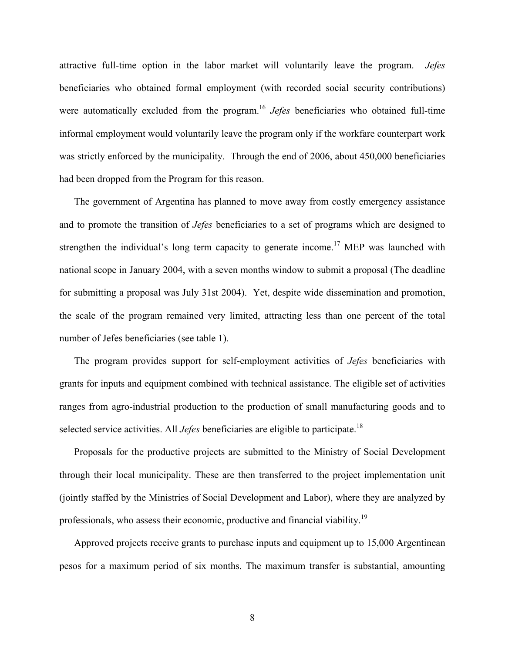attractive full-time option in the labor market will voluntarily leave the program. *Jefes*  beneficiaries who obtained formal employment (with recorded social security contributions) were automatically excluded from the program.<sup>16</sup> *Jefes* beneficiaries who obtained full-time informal employment would voluntarily leave the program only if the workfare counterpart work was strictly enforced by the municipality. Through the end of 2006, about 450,000 beneficiaries had been dropped from the Program for this reason.

The government of Argentina has planned to move away from costly emergency assistance and to promote the transition of *Jefes* beneficiaries to a set of programs which are designed to strengthen the individual's long term capacity to generate income.<sup>17</sup> MEP was launched with national scope in January 2004, with a seven months window to submit a proposal (The deadline for submitting a proposal was July 31st 2004). Yet, despite wide dissemination and promotion, the scale of the program remained very limited, attracting less than one percent of the total number of Jefes beneficiaries (see table 1).

The program provides support for self-employment activities of *Jefes* beneficiaries with grants for inputs and equipment combined with technical assistance. The eligible set of activities ranges from agro-industrial production to the production of small manufacturing goods and to selected service activities. All *Jefes* beneficiaries are eligible to participate.<sup>18</sup>

Proposals for the productive projects are submitted to the Ministry of Social Development through their local municipality. These are then transferred to the project implementation unit (jointly staffed by the Ministries of Social Development and Labor), where they are analyzed by professionals, who assess their economic, productive and financial viability.<sup>19</sup>

Approved projects receive grants to purchase inputs and equipment up to 15,000 Argentinean pesos for a maximum period of six months. The maximum transfer is substantial, amounting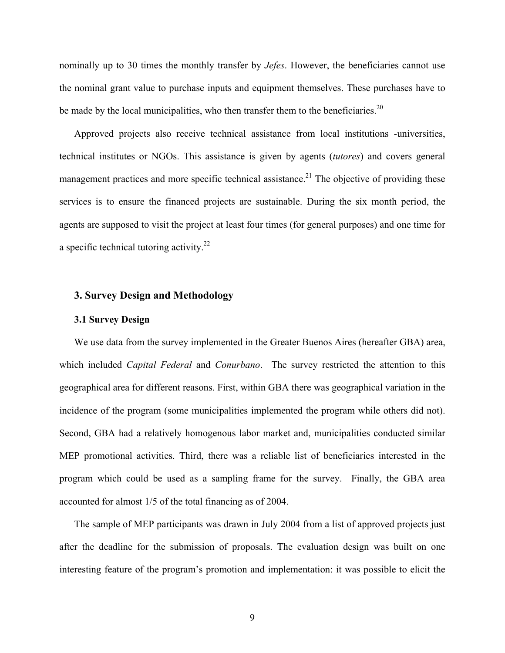nominally up to 30 times the monthly transfer by *Jefes*. However, the beneficiaries cannot use the nominal grant value to purchase inputs and equipment themselves. These purchases have to be made by the local municipalities, who then transfer them to the beneficiaries.<sup>20</sup>

Approved projects also receive technical assistance from local institutions -universities, technical institutes or NGOs. This assistance is given by agents (*tutores*) and covers general management practices and more specific technical assistance.<sup>21</sup> The objective of providing these services is to ensure the financed projects are sustainable. During the six month period, the agents are supposed to visit the project at least four times (for general purposes) and one time for a specific technical tutoring activity. $2^2$ 

# **3. Survey Design and Methodology**

#### **3.1 Survey Design**

We use data from the survey implemented in the Greater Buenos Aires (hereafter GBA) area, which included *Capital Federal* and *Conurbano*. The survey restricted the attention to this geographical area for different reasons. First, within GBA there was geographical variation in the incidence of the program (some municipalities implemented the program while others did not). Second, GBA had a relatively homogenous labor market and, municipalities conducted similar MEP promotional activities. Third, there was a reliable list of beneficiaries interested in the program which could be used as a sampling frame for the survey. Finally, the GBA area accounted for almost 1/5 of the total financing as of 2004.

The sample of MEP participants was drawn in July 2004 from a list of approved projects just after the deadline for the submission of proposals. The evaluation design was built on one interesting feature of the program's promotion and implementation: it was possible to elicit the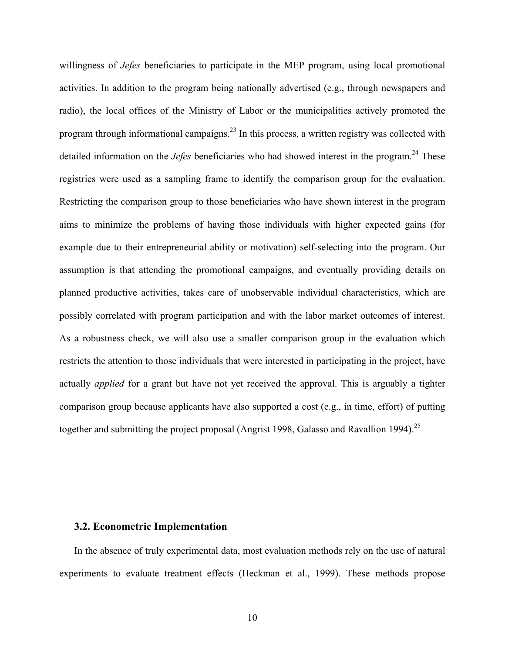willingness of *Jefes* beneficiaries to participate in the MEP program, using local promotional activities. In addition to the program being nationally advertised (e.g., through newspapers and radio), the local offices of the Ministry of Labor or the municipalities actively promoted the program through informational campaigns.23 In this process, a written registry was collected with detailed information on the *Jefes* beneficiaries who had showed interest in the program.<sup>24</sup> These registries were used as a sampling frame to identify the comparison group for the evaluation. Restricting the comparison group to those beneficiaries who have shown interest in the program aims to minimize the problems of having those individuals with higher expected gains (for example due to their entrepreneurial ability or motivation) self-selecting into the program. Our assumption is that attending the promotional campaigns, and eventually providing details on planned productive activities, takes care of unobservable individual characteristics, which are possibly correlated with program participation and with the labor market outcomes of interest. As a robustness check, we will also use a smaller comparison group in the evaluation which restricts the attention to those individuals that were interested in participating in the project, have actually *applied* for a grant but have not yet received the approval. This is arguably a tighter comparison group because applicants have also supported a cost (e.g., in time, effort) of putting together and submitting the project proposal (Angrist 1998, Galasso and Ravallion 1994).<sup>25</sup>

#### **3.2. Econometric Implementation**

In the absence of truly experimental data, most evaluation methods rely on the use of natural experiments to evaluate treatment effects (Heckman et al., 1999). These methods propose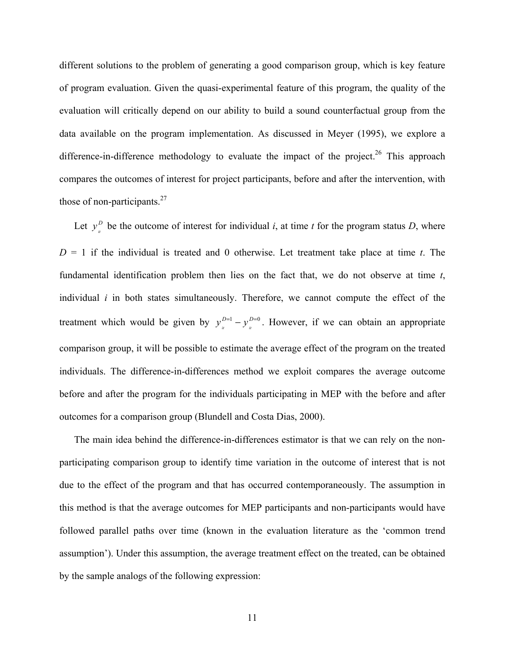different solutions to the problem of generating a good comparison group, which is key feature of program evaluation. Given the quasi-experimental feature of this program, the quality of the evaluation will critically depend on our ability to build a sound counterfactual group from the data available on the program implementation. As discussed in Meyer (1995), we explore a difference-in-difference methodology to evaluate the impact of the project.<sup>26</sup> This approach compares the outcomes of interest for project participants, before and after the intervention, with those of non-participants. $27$ 

Let  $y_i^D$  be the outcome of interest for individual *i*, at time *t* for the program status *D*, where  $D = 1$  if the individual is treated and 0 otherwise. Let treatment take place at time *t*. The fundamental identification problem then lies on the fact that, we do not observe at time *t*, individual *i* in both states simultaneously. Therefore, we cannot compute the effect of the treatment which would be given by  $y_i^{D=1} - y_i^{D=0}$ . However, if we can obtain an appropriate comparison group, it will be possible to estimate the average effect of the program on the treated individuals. The difference-in-differences method we exploit compares the average outcome before and after the program for the individuals participating in MEP with the before and after outcomes for a comparison group (Blundell and Costa Dias, 2000).

The main idea behind the difference-in-differences estimator is that we can rely on the nonparticipating comparison group to identify time variation in the outcome of interest that is not due to the effect of the program and that has occurred contemporaneously. The assumption in this method is that the average outcomes for MEP participants and non-participants would have followed parallel paths over time (known in the evaluation literature as the 'common trend assumption'). Under this assumption, the average treatment effect on the treated, can be obtained by the sample analogs of the following expression: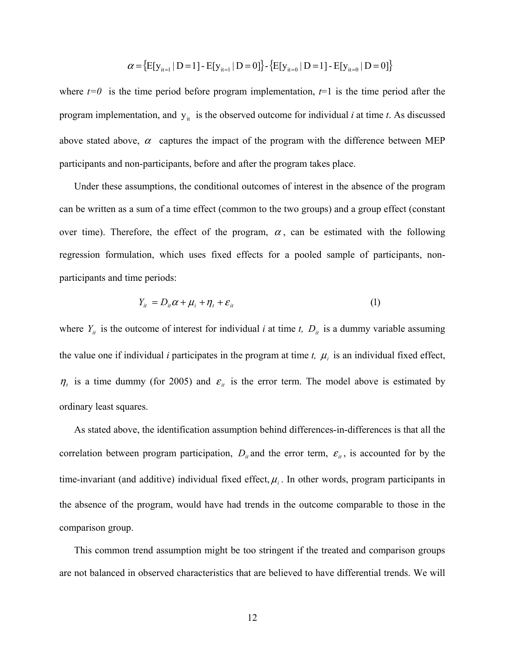$$
\alpha = \{E[y_{it=1} | D=1] - E[y_{it=1} | D=0]\} - \{E[y_{it=0} | D=1] - E[y_{it=0} | D=0]\}
$$

where  $t=0$  is the time period before program implementation,  $t=1$  is the time period after the program implementation, and  $y_{it}$  is the observed outcome for individual *i* at time *t*. As discussed above stated above,  $\alpha$  captures the impact of the program with the difference between MEP participants and non-participants, before and after the program takes place.

Under these assumptions, the conditional outcomes of interest in the absence of the program can be written as a sum of a time effect (common to the two groups) and a group effect (constant over time). Therefore, the effect of the program,  $\alpha$ , can be estimated with the following regression formulation, which uses fixed effects for a pooled sample of participants, nonparticipants and time periods:

$$
Y_{it} = D_{it}\alpha + \mu_i + \eta_t + \varepsilon_{it} \tag{1}
$$

where  $Y_{it}$  is the outcome of interest for individual *i* at time *t*,  $D_{it}$  is a dummy variable assuming the value one if individual *i* participates in the program at time *t*,  $\mu_i$  is an individual fixed effect,  $\eta_t$  is a time dummy (for 2005) and  $\varepsilon$ <sub>*it*</sub> is the error term. The model above is estimated by ordinary least squares.

As stated above, the identification assumption behind differences-in-differences is that all the correlation between program participation,  $D_{it}$  and the error term,  $\varepsilon_{it}$ , is accounted for by the time-invariant (and additive) individual fixed effect,  $\mu_i$ . In other words, program participants in the absence of the program, would have had trends in the outcome comparable to those in the comparison group.

This common trend assumption might be too stringent if the treated and comparison groups are not balanced in observed characteristics that are believed to have differential trends. We will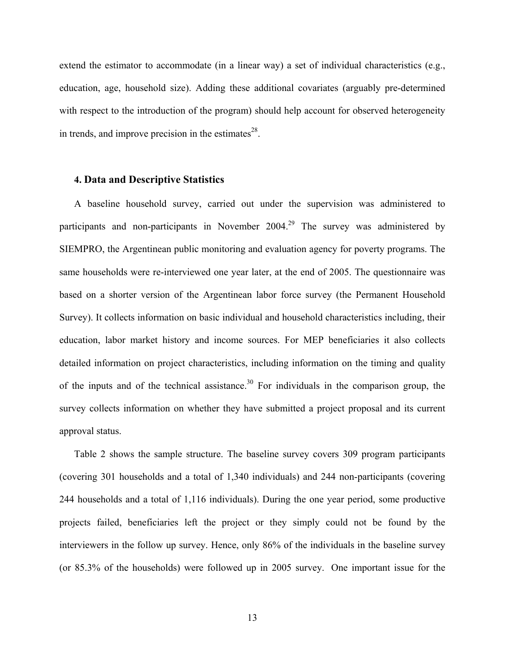extend the estimator to accommodate (in a linear way) a set of individual characteristics (e.g., education, age, household size). Adding these additional covariates (arguably pre-determined with respect to the introduction of the program) should help account for observed heterogeneity in trends, and improve precision in the estimates $28$ .

## **4. Data and Descriptive Statistics**

A baseline household survey, carried out under the supervision was administered to participants and non-participants in November 2004.<sup>29</sup> The survey was administered by SIEMPRO, the Argentinean public monitoring and evaluation agency for poverty programs. The same households were re-interviewed one year later, at the end of 2005. The questionnaire was based on a shorter version of the Argentinean labor force survey (the Permanent Household Survey). It collects information on basic individual and household characteristics including, their education, labor market history and income sources. For MEP beneficiaries it also collects detailed information on project characteristics, including information on the timing and quality of the inputs and of the technical assistance.<sup>30</sup> For individuals in the comparison group, the survey collects information on whether they have submitted a project proposal and its current approval status.

Table 2 shows the sample structure. The baseline survey covers 309 program participants (covering 301 households and a total of 1,340 individuals) and 244 non-participants (covering 244 households and a total of 1,116 individuals). During the one year period, some productive projects failed, beneficiaries left the project or they simply could not be found by the interviewers in the follow up survey. Hence, only 86% of the individuals in the baseline survey (or 85.3% of the households) were followed up in 2005 survey. One important issue for the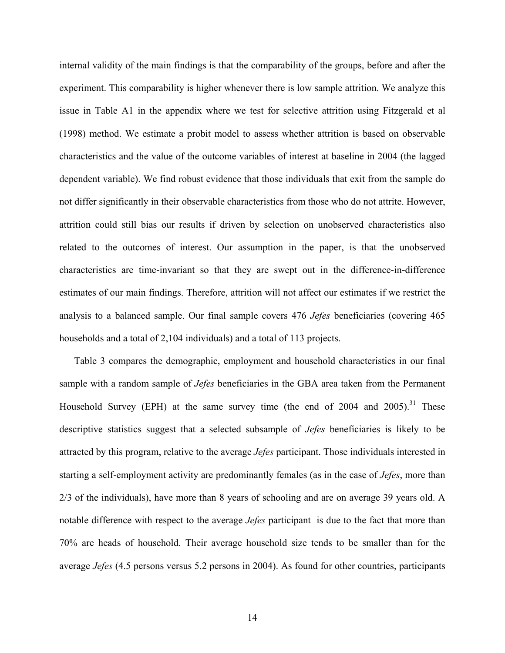internal validity of the main findings is that the comparability of the groups, before and after the experiment. This comparability is higher whenever there is low sample attrition. We analyze this issue in Table A1 in the appendix where we test for selective attrition using Fitzgerald et al (1998) method. We estimate a probit model to assess whether attrition is based on observable characteristics and the value of the outcome variables of interest at baseline in 2004 (the lagged dependent variable). We find robust evidence that those individuals that exit from the sample do not differ significantly in their observable characteristics from those who do not attrite. However, attrition could still bias our results if driven by selection on unobserved characteristics also related to the outcomes of interest. Our assumption in the paper, is that the unobserved characteristics are time-invariant so that they are swept out in the difference-in-difference estimates of our main findings. Therefore, attrition will not affect our estimates if we restrict the analysis to a balanced sample. Our final sample covers 476 *Jefes* beneficiaries (covering 465 households and a total of 2,104 individuals) and a total of 113 projects.

Table 3 compares the demographic, employment and household characteristics in our final sample with a random sample of *Jefes* beneficiaries in the GBA area taken from the Permanent Household Survey (EPH) at the same survey time (the end of  $2004$  and  $2005$ ).<sup>31</sup> These descriptive statistics suggest that a selected subsample of *Jefes* beneficiaries is likely to be attracted by this program, relative to the average *Jefes* participant. Those individuals interested in starting a self-employment activity are predominantly females (as in the case of *Jefes*, more than 2/3 of the individuals), have more than 8 years of schooling and are on average 39 years old. A notable difference with respect to the average *Jefes* participant is due to the fact that more than 70% are heads of household. Their average household size tends to be smaller than for the average *Jefes* (4.5 persons versus 5.2 persons in 2004). As found for other countries, participants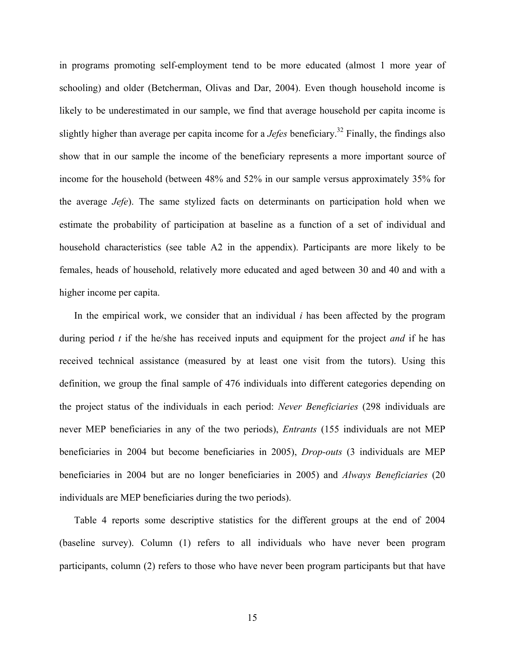in programs promoting self-employment tend to be more educated (almost 1 more year of schooling) and older (Betcherman, Olivas and Dar, 2004). Even though household income is likely to be underestimated in our sample, we find that average household per capita income is slightly higher than average per capita income for a *Jefes* beneficiary.<sup>32</sup> Finally, the findings also show that in our sample the income of the beneficiary represents a more important source of income for the household (between 48% and 52% in our sample versus approximately 35% for the average *Jefe*). The same stylized facts on determinants on participation hold when we estimate the probability of participation at baseline as a function of a set of individual and household characteristics (see table A2 in the appendix). Participants are more likely to be females, heads of household, relatively more educated and aged between 30 and 40 and with a higher income per capita.

In the empirical work, we consider that an individual *i* has been affected by the program during period *t* if the he/she has received inputs and equipment for the project *and* if he has received technical assistance (measured by at least one visit from the tutors). Using this definition, we group the final sample of 476 individuals into different categories depending on the project status of the individuals in each period: *Never Beneficiaries* (298 individuals are never MEP beneficiaries in any of the two periods), *Entrants* (155 individuals are not MEP beneficiaries in 2004 but become beneficiaries in 2005), *Drop-outs* (3 individuals are MEP beneficiaries in 2004 but are no longer beneficiaries in 2005) and *Always Beneficiaries* (20 individuals are MEP beneficiaries during the two periods).

Table 4 reports some descriptive statistics for the different groups at the end of 2004 (baseline survey). Column (1) refers to all individuals who have never been program participants, column (2) refers to those who have never been program participants but that have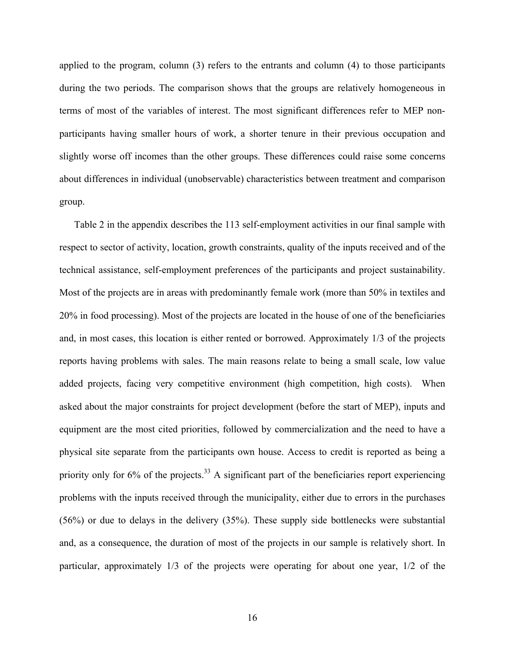applied to the program, column (3) refers to the entrants and column (4) to those participants during the two periods. The comparison shows that the groups are relatively homogeneous in terms of most of the variables of interest. The most significant differences refer to MEP nonparticipants having smaller hours of work, a shorter tenure in their previous occupation and slightly worse off incomes than the other groups. These differences could raise some concerns about differences in individual (unobservable) characteristics between treatment and comparison group.

Table 2 in the appendix describes the 113 self-employment activities in our final sample with respect to sector of activity, location, growth constraints, quality of the inputs received and of the technical assistance, self-employment preferences of the participants and project sustainability. Most of the projects are in areas with predominantly female work (more than 50% in textiles and 20% in food processing). Most of the projects are located in the house of one of the beneficiaries and, in most cases, this location is either rented or borrowed. Approximately 1/3 of the projects reports having problems with sales. The main reasons relate to being a small scale, low value added projects, facing very competitive environment (high competition, high costs). When asked about the major constraints for project development (before the start of MEP), inputs and equipment are the most cited priorities, followed by commercialization and the need to have a physical site separate from the participants own house. Access to credit is reported as being a priority only for  $6\%$  of the projects.<sup>33</sup> A significant part of the beneficiaries report experiencing problems with the inputs received through the municipality, either due to errors in the purchases (56%) or due to delays in the delivery (35%). These supply side bottlenecks were substantial and, as a consequence, the duration of most of the projects in our sample is relatively short. In particular, approximately 1/3 of the projects were operating for about one year, 1/2 of the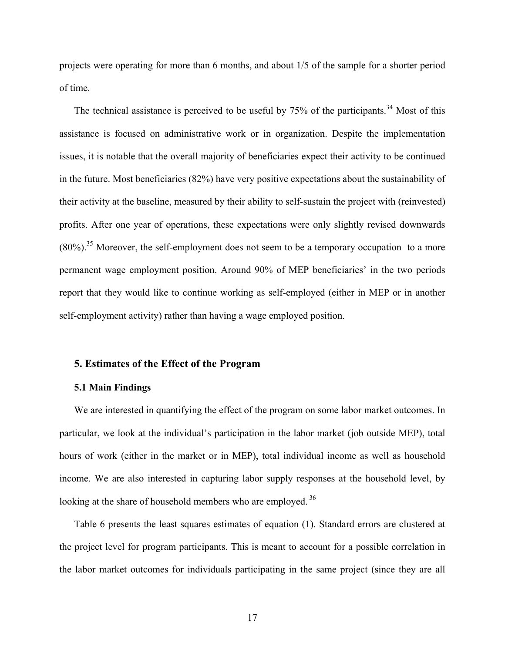projects were operating for more than 6 months, and about 1/5 of the sample for a shorter period of time.

The technical assistance is perceived to be useful by  $75\%$  of the participants.<sup>34</sup> Most of this assistance is focused on administrative work or in organization. Despite the implementation issues, it is notable that the overall majority of beneficiaries expect their activity to be continued in the future. Most beneficiaries (82%) have very positive expectations about the sustainability of their activity at the baseline, measured by their ability to self-sustain the project with (reinvested) profits. After one year of operations, these expectations were only slightly revised downwards  $(80\%)$ .<sup>35</sup> Moreover, the self-employment does not seem to be a temporary occupation to a more permanent wage employment position. Around 90% of MEP beneficiaries' in the two periods report that they would like to continue working as self-employed (either in MEP or in another self-employment activity) rather than having a wage employed position.

## **5. Estimates of the Effect of the Program**

#### **5.1 Main Findings**

We are interested in quantifying the effect of the program on some labor market outcomes. In particular, we look at the individual's participation in the labor market (job outside MEP), total hours of work (either in the market or in MEP), total individual income as well as household income. We are also interested in capturing labor supply responses at the household level, by looking at the share of household members who are employed.<sup>36</sup>

Table 6 presents the least squares estimates of equation (1). Standard errors are clustered at the project level for program participants. This is meant to account for a possible correlation in the labor market outcomes for individuals participating in the same project (since they are all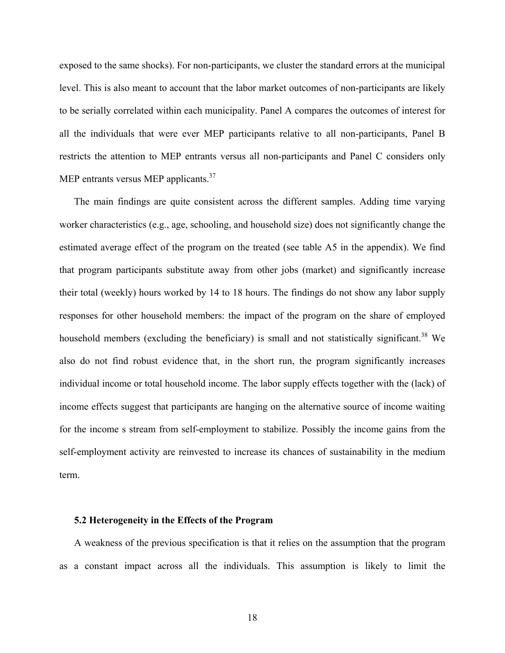exposed to the same shocks). For non-participants, we cluster the standard errors at the municipal level. This is also meant to account that the labor market outcomes of non-participants are likely to be serially correlated within each municipality. Panel A compares the outcomes of interest for all the individuals that were ever MEP participants relative to all non-participants, Panel B restricts the attention to MEP entrants versus all non-participants and Panel C considers only MEP entrants versus MEP applicants.<sup>37</sup>

The main findings are quite consistent across the different samples. Adding time varying worker characteristics (e.g., age, schooling, and household size) does not significantly change the estimated average effect of the program on the treated (see table A5 in the appendix). We find that program participants substitute away from other jobs (market) and significantly increase their total (weekly) hours worked by 14 to 18 hours. The findings do not show any labor supply responses for other household members: the impact of the program on the share of employed household members (excluding the beneficiary) is small and not statistically significant.<sup>38</sup> We also do not find robust evidence that, in the short run, the program significantly increases individual income or total household income. The labor supply effects together with the (lack) of income effects suggest that participants are hanging on the alternative source of income waiting for the income s stream from self-employment to stabilize. Possibly the income gains from the self-employment activity are reinvested to increase its chances of sustainability in the medium term.

#### **5.2 Heterogeneity in the Effects of the Program**

A weakness of the previous specification is that it relies on the assumption that the program as a constant impact across all the individuals. This assumption is likely to limit the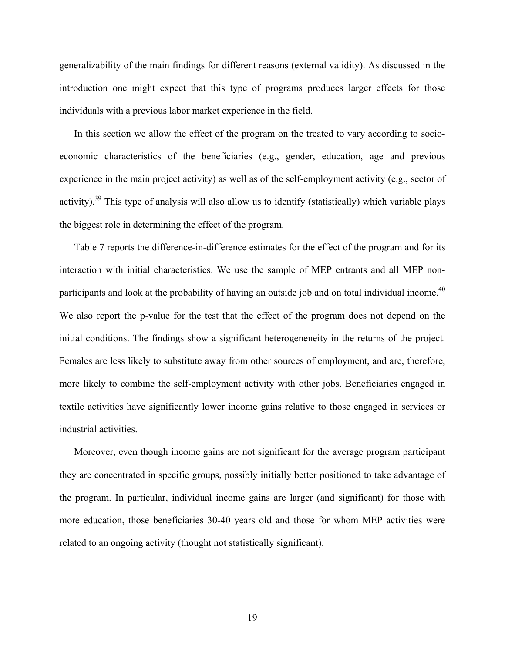generalizability of the main findings for different reasons (external validity). As discussed in the introduction one might expect that this type of programs produces larger effects for those individuals with a previous labor market experience in the field.

In this section we allow the effect of the program on the treated to vary according to socioeconomic characteristics of the beneficiaries (e.g., gender, education, age and previous experience in the main project activity) as well as of the self-employment activity (e.g., sector of activity).39 This type of analysis will also allow us to identify (statistically) which variable plays the biggest role in determining the effect of the program.

Table 7 reports the difference-in-difference estimates for the effect of the program and for its interaction with initial characteristics. We use the sample of MEP entrants and all MEP nonparticipants and look at the probability of having an outside job and on total individual income.<sup>40</sup> We also report the p-value for the test that the effect of the program does not depend on the initial conditions. The findings show a significant heterogeneneity in the returns of the project. Females are less likely to substitute away from other sources of employment, and are, therefore, more likely to combine the self-employment activity with other jobs. Beneficiaries engaged in textile activities have significantly lower income gains relative to those engaged in services or industrial activities.

Moreover, even though income gains are not significant for the average program participant they are concentrated in specific groups, possibly initially better positioned to take advantage of the program. In particular, individual income gains are larger (and significant) for those with more education, those beneficiaries 30-40 years old and those for whom MEP activities were related to an ongoing activity (thought not statistically significant).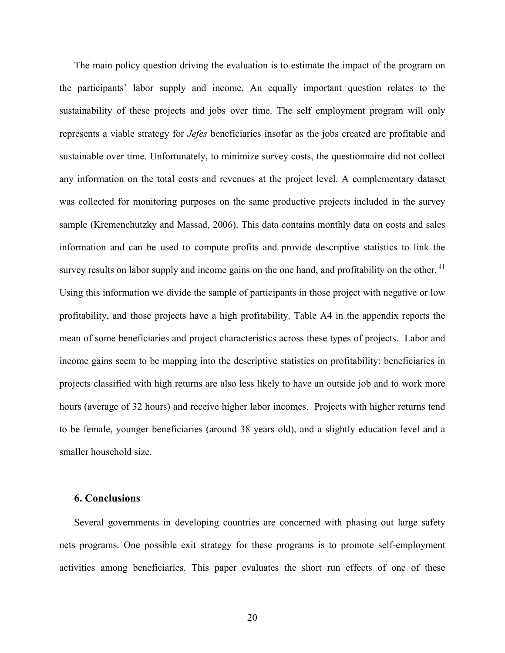The main policy question driving the evaluation is to estimate the impact of the program on the participants' labor supply and income. An equally important question relates to the sustainability of these projects and jobs over time. The self employment program will only represents a viable strategy for *Jefes* beneficiaries insofar as the jobs created are profitable and sustainable over time. Unfortunately, to minimize survey costs, the questionnaire did not collect any information on the total costs and revenues at the project level. A complementary dataset was collected for monitoring purposes on the same productive projects included in the survey sample (Kremenchutzky and Massad, 2006). This data contains monthly data on costs and sales information and can be used to compute profits and provide descriptive statistics to link the survey results on labor supply and income gains on the one hand, and profitability on the other.<sup>41</sup> Using this information we divide the sample of participants in those project with negative or low profitability, and those projects have a high profitability. Table A4 in the appendix reports the mean of some beneficiaries and project characteristics across these types of projects. Labor and income gains seem to be mapping into the descriptive statistics on profitability: beneficiaries in projects classified with high returns are also less likely to have an outside job and to work more hours (average of 32 hours) and receive higher labor incomes. Projects with higher returns tend to be female, younger beneficiaries (around 38 years old), and a slightly education level and a smaller household size.

# **6. Conclusions**

Several governments in developing countries are concerned with phasing out large safety nets programs. One possible exit strategy for these programs is to promote self-employment activities among beneficiaries. This paper evaluates the short run effects of one of these

20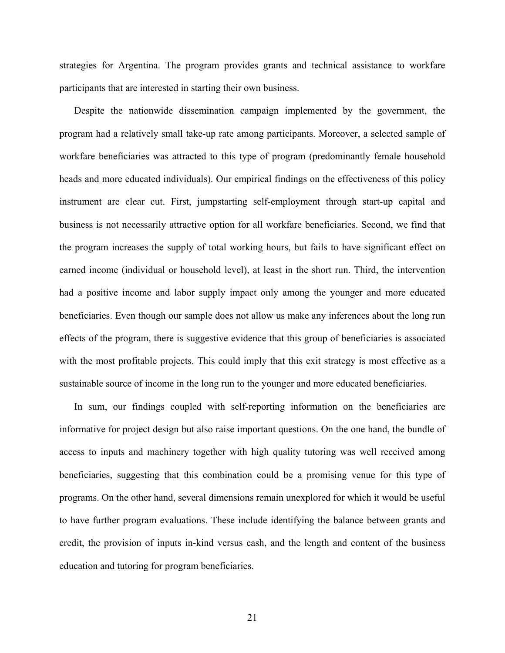strategies for Argentina. The program provides grants and technical assistance to workfare participants that are interested in starting their own business.

Despite the nationwide dissemination campaign implemented by the government, the program had a relatively small take-up rate among participants. Moreover, a selected sample of workfare beneficiaries was attracted to this type of program (predominantly female household heads and more educated individuals). Our empirical findings on the effectiveness of this policy instrument are clear cut. First, jumpstarting self-employment through start-up capital and business is not necessarily attractive option for all workfare beneficiaries. Second, we find that the program increases the supply of total working hours, but fails to have significant effect on earned income (individual or household level), at least in the short run. Third, the intervention had a positive income and labor supply impact only among the younger and more educated beneficiaries. Even though our sample does not allow us make any inferences about the long run effects of the program, there is suggestive evidence that this group of beneficiaries is associated with the most profitable projects. This could imply that this exit strategy is most effective as a sustainable source of income in the long run to the younger and more educated beneficiaries.

In sum, our findings coupled with self-reporting information on the beneficiaries are informative for project design but also raise important questions. On the one hand, the bundle of access to inputs and machinery together with high quality tutoring was well received among beneficiaries, suggesting that this combination could be a promising venue for this type of programs. On the other hand, several dimensions remain unexplored for which it would be useful to have further program evaluations. These include identifying the balance between grants and credit, the provision of inputs in-kind versus cash, and the length and content of the business education and tutoring for program beneficiaries.

21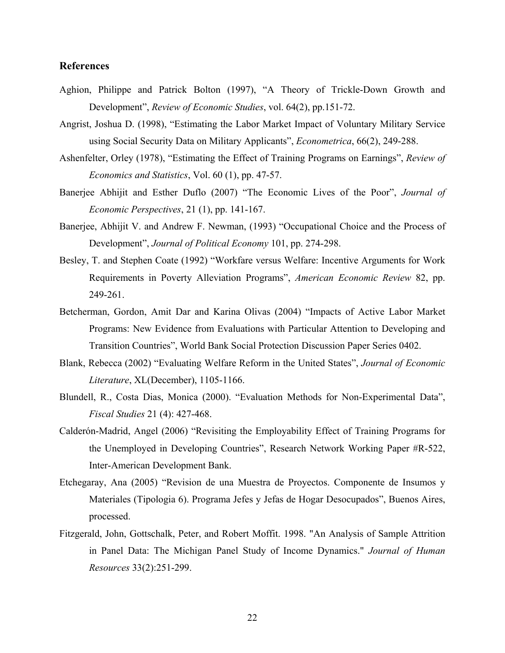# **References**

- Aghion, Philippe and Patrick Bolton (1997), "A Theory of Trickle-Down Growth and Development", *Review of Economic Studies*, vol. 64(2), pp.151-72.
- Angrist, Joshua D. (1998), "Estimating the Labor Market Impact of Voluntary Military Service using Social Security Data on Military Applicants", *Econometrica*, 66(2), 249-288.
- Ashenfelter, Orley (1978), "Estimating the Effect of Training Programs on Earnings", *Review of Economics and Statistics*, Vol. 60 (1), pp. 47-57.
- Banerjee Abhijit and Esther Duflo (2007) "The Economic Lives of the Poor", *Journal of Economic Perspectives*, 21 (1), pp. 141-167.
- Banerjee, Abhijit V. and Andrew F. Newman, (1993) "Occupational Choice and the Process of Development", *Journal of Political Economy* 101, pp. 274-298.
- Besley, T. and Stephen Coate (1992) "Workfare versus Welfare: Incentive Arguments for Work Requirements in Poverty Alleviation Programs", *American Economic Review* 82, pp. 249-261.
- Betcherman, Gordon, Amit Dar and Karina Olivas (2004) "Impacts of Active Labor Market Programs: New Evidence from Evaluations with Particular Attention to Developing and Transition Countries", World Bank Social Protection Discussion Paper Series 0402.
- Blank, Rebecca (2002) "Evaluating Welfare Reform in the United States", *Journal of Economic Literature*, XL(December), 1105-1166.
- Blundell, R., Costa Dias, Monica (2000). "Evaluation Methods for Non-Experimental Data", *Fiscal Studies* 21 (4): 427-468.
- Calderón-Madrid, Angel (2006) "Revisiting the Employability Effect of Training Programs for the Unemployed in Developing Countries", Research Network Working Paper #R-522, Inter-American Development Bank.
- Etchegaray, Ana (2005) "Revision de una Muestra de Proyectos. Componente de Insumos y Materiales (Tipologia 6). Programa Jefes y Jefas de Hogar Desocupados", Buenos Aires, processed.
- Fitzgerald, John, Gottschalk, Peter, and Robert Moffit. 1998. "An Analysis of Sample Attrition in Panel Data: The Michigan Panel Study of Income Dynamics." *Journal of Human Resources* 33(2):251-299.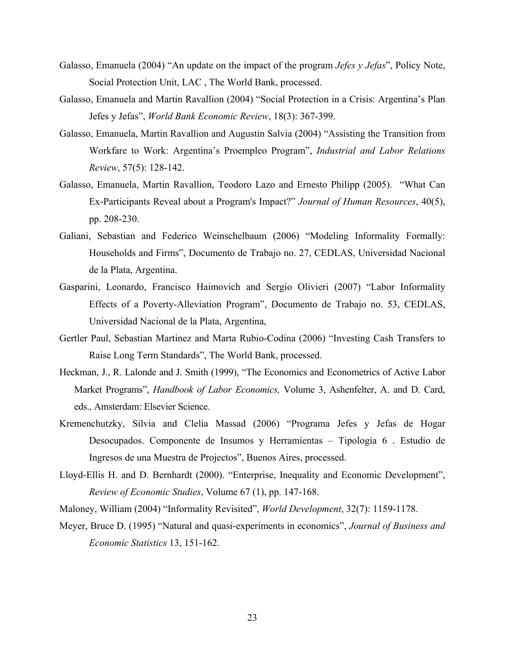- Galasso, Emanuela (2004) "An update on the impact of the program *Jefes y Jefas*", Policy Note, Social Protection Unit, LAC , The World Bank, processed.
- Galasso, Emanuela and Martin Ravallion (2004) "Social Protection in a Crisis: Argentina's Plan Jefes y Jefas", *World Bank Economic Review*, 18(3): 367-399.
- Galasso, Emanuela, Martin Ravallion and Augustin Salvia (2004) "Assisting the Transition from Workfare to Work: Argentina's Proempleo Program", *Industrial and Labor Relations Review*, 57(5): 128-142.
- Galasso, Emanuela, Martin Ravallion, Teodoro Lazo and Ernesto Philipp (2005). "What Can Ex-Participants Reveal about a Program's Impact?" *Journal of Human Resources*, 40(5), pp. 208-230.
- Galiani, Sebastian and Federico Weinschelbaum (2006) "Modeling Informality Formally: Households and Firms", Documento de Trabajo no. 27, CEDLAS, Universidad Nacional de la Plata, Argentina.
- Gasparini, Leonardo, Francisco Haimovich and Sergio Olivieri (2007) "Labor Informality Effects of a Poverty-Alleviation Program", Documento de Trabajo no. 53, CEDLAS, Universidad Nacional de la Plata, Argentina,
- Gertler Paul, Sebastian Martinez and Marta Rubio-Codina (2006) "Investing Cash Transfers to Raise Long Term Standards", The World Bank, processed.
- Heckman, J., R. Lalonde and J. Smith (1999), "The Economics and Econometrics of Active Labor Market Programs", *Handbook of Labor Economics,* Volume 3, Ashenfelter, A. and D. Card, eds., Amsterdam: Elsevier Science.
- Kremenchutzky, Silvia and Clelia Massad (2006) "Programa Jefes y Jefas de Hogar Desocupados. Componente de Insumos y Herramientas – Tipologia 6 . Estudio de Ingresos de una Muestra de Projectos", Buenos Aires, processed.
- Lloyd-Ellis H. and D. Bernhardt (2000). "Enterprise, Inequality and Economic Development", *Review of Economic Studies*, Volume 67 (1), pp. 147-168.
- Maloney, William (2004) "Informality Revisited", *World Development*, 32(7): 1159-1178.
- Meyer, Bruce D. (1995) "Natural and quasi-experiments in economics", *Journal of Business and Economic Statistics* 13, 151-162.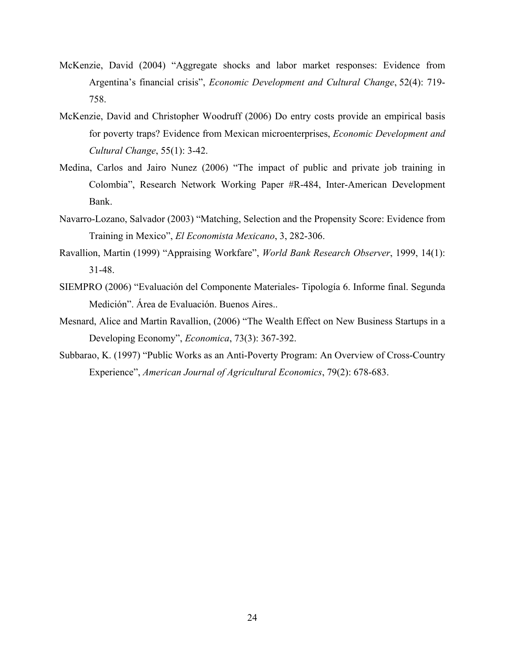- McKenzie, David (2004) "Aggregate shocks and labor market responses: Evidence from Argentina's financial crisis", *Economic Development and Cultural Change*, 52(4): 719- 758.
- McKenzie, David and Christopher Woodruff (2006) Do entry costs provide an empirical basis for poverty traps? Evidence from Mexican microenterprises, *Economic Development and Cultural Change*, 55(1): 3-42.
- Medina, Carlos and Jairo Nunez (2006) "The impact of public and private job training in Colombia", Research Network Working Paper #R-484, Inter-American Development Bank.
- Navarro-Lozano, Salvador (2003) "Matching, Selection and the Propensity Score: Evidence from Training in Mexico", *El Economista Mexicano*, 3, 282-306.
- Ravallion, Martin (1999) "Appraising Workfare", *World Bank Research Observer*, 1999, 14(1): 31-48.
- SIEMPRO (2006) "Evaluación del Componente Materiales- Tipología 6. Informe final. Segunda Medición". Área de Evaluación. Buenos Aires..
- Mesnard, Alice and Martin Ravallion, (2006) "The Wealth Effect on New Business Startups in a Developing Economy", *Economica*, 73(3): 367-392.
- Subbarao, K. (1997) "Public Works as an Anti-Poverty Program: An Overview of Cross-Country Experience", *American Journal of Agricultural Economics*, 79(2): 678-683.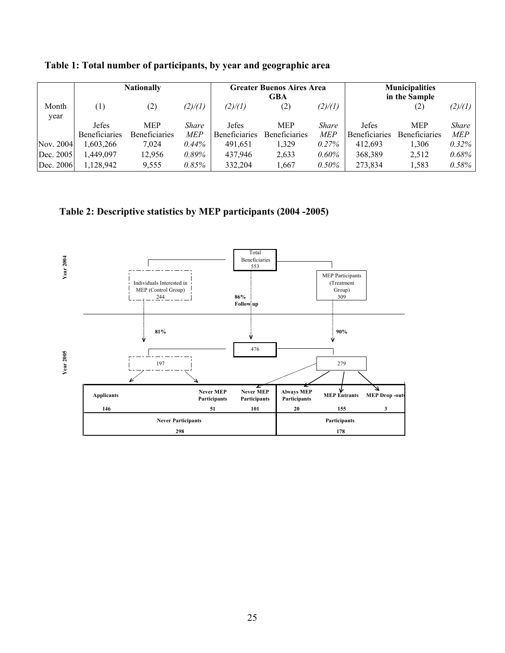|               |                      | <b>Nationally</b>    |          |                      | <b>Greater Buenos Aires Area</b><br>GBA |          |                      | <b>Municipalities</b><br>in the Sample |            |
|---------------|----------------------|----------------------|----------|----------------------|-----------------------------------------|----------|----------------------|----------------------------------------|------------|
| Month<br>year | $\left(1\right)$     | (2)                  | (2)/(1)  | (2)/(1)              | (2)                                     | (2)/(1)  |                      | (2)                                    | (2)/(1)    |
|               | <b>Jefes</b>         | <b>MEP</b>           | Share    | <b>Jefes</b>         | <b>MEP</b>                              | Share    | <b>Jefes</b>         | <b>MEP</b>                             | Share      |
|               | <b>Beneficiaries</b> | <b>Beneficiaries</b> | MEP      | <b>Beneficiaries</b> | Beneficiaries                           | MEP      | <b>Beneficiaries</b> | Beneficiaries                          | <b>MEP</b> |
| Nov. 2004     | 1,603,266            | 7.024                | $0.44\%$ | 491,651              | 1,329                                   | $0.27\%$ | 412.693              | 1,306                                  | $0.32\%$   |
| Dec. 2005     | .449.097             | 12,956               | $0.89\%$ | 437.946              | 2,633                                   | $0.60\%$ | 368,389              | 2,512                                  | 0.68%      |
| Dec. 2006     | 1,128,942            | 9,555                | 0.85%    | 332.204              | 1.667                                   | $0.50\%$ | 273,834              | 1,583                                  | 0.58%      |

**Table 1: Total number of participants, by year and geographic area** 

**Table 2: Descriptive statistics by MEP participants (2004 -2005)** 

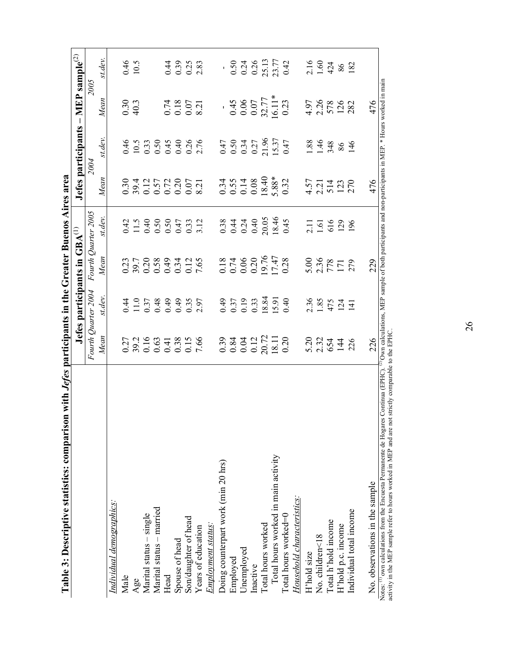|                                     |                     |         | Jefes participants in GBA <sup>(1)</sup> |                                                                                                                                                    |                                                                                                                                                                                                                                  | Jefes participants - MEP sample <sup>(2)</sup> |                                                                                        |                            |
|-------------------------------------|---------------------|---------|------------------------------------------|----------------------------------------------------------------------------------------------------------------------------------------------------|----------------------------------------------------------------------------------------------------------------------------------------------------------------------------------------------------------------------------------|------------------------------------------------|----------------------------------------------------------------------------------------|----------------------------|
|                                     | Fourth Quarter 2004 |         | Fourth Quarter 2005                      |                                                                                                                                                    | 2004                                                                                                                                                                                                                             |                                                | <b>2005</b>                                                                            |                            |
|                                     | Mean                | st.dev. | Mean                                     | st.dev.                                                                                                                                            | Mean                                                                                                                                                                                                                             | st.dev.                                        | Mean                                                                                   | st.dev.                    |
| Individual demographics:            |                     |         |                                          |                                                                                                                                                    |                                                                                                                                                                                                                                  |                                                |                                                                                        |                            |
| Male                                |                     |         |                                          |                                                                                                                                                    |                                                                                                                                                                                                                                  |                                                | $0.30$<br>40.3                                                                         |                            |
| Age                                 |                     |         |                                          |                                                                                                                                                    |                                                                                                                                                                                                                                  |                                                |                                                                                        | $0.46$<br>10.5             |
| Marital status - single             |                     |         |                                          |                                                                                                                                                    |                                                                                                                                                                                                                                  |                                                |                                                                                        |                            |
| Marital status - married            |                     |         |                                          |                                                                                                                                                    |                                                                                                                                                                                                                                  |                                                |                                                                                        |                            |
| Head                                |                     |         |                                          |                                                                                                                                                    |                                                                                                                                                                                                                                  |                                                |                                                                                        |                            |
| Spouse of head                      |                     |         |                                          |                                                                                                                                                    |                                                                                                                                                                                                                                  |                                                |                                                                                        |                            |
| Son/daughter of head                |                     |         |                                          |                                                                                                                                                    |                                                                                                                                                                                                                                  |                                                |                                                                                        |                            |
| Years of education                  |                     |         |                                          |                                                                                                                                                    |                                                                                                                                                                                                                                  |                                                |                                                                                        | $0.39$<br>$0.35$<br>$2.83$ |
| Employment status:                  |                     |         |                                          | $27.5$<br>$27.5$<br>$37.5$<br>$37.5$<br>$37.5$<br>$37.5$<br>$37.5$<br>$37.5$<br>$37.5$<br>$37.5$<br>$37.5$<br>$37.5$<br>$38.5$<br>$39.5$<br>$39.5$ |                                                                                                                                                                                                                                  | 45.5544886 452455555 8448646                   | $0.74$<br>0.18<br>0.07<br>8.21                                                         |                            |
| Doing counterpart work (min 20 hrs) |                     |         |                                          |                                                                                                                                                    |                                                                                                                                                                                                                                  |                                                |                                                                                        |                            |
| Employed                            |                     |         |                                          |                                                                                                                                                    |                                                                                                                                                                                                                                  |                                                |                                                                                        |                            |
| Unemployed                          |                     |         |                                          |                                                                                                                                                    |                                                                                                                                                                                                                                  |                                                |                                                                                        |                            |
| Inactive                            |                     |         |                                          |                                                                                                                                                    |                                                                                                                                                                                                                                  |                                                |                                                                                        |                            |
| Total hours worked                  |                     |         |                                          |                                                                                                                                                    |                                                                                                                                                                                                                                  |                                                |                                                                                        |                            |
| Total hours worked in main activity |                     |         |                                          |                                                                                                                                                    |                                                                                                                                                                                                                                  |                                                |                                                                                        |                            |
| Total hours worked=0                |                     |         |                                          |                                                                                                                                                    |                                                                                                                                                                                                                                  |                                                |                                                                                        |                            |
| Household characteristics:          |                     |         |                                          |                                                                                                                                                    |                                                                                                                                                                                                                                  |                                                |                                                                                        |                            |
| H'hold size                         |                     |         |                                          | 2.11<br>1.61<br>196<br>196                                                                                                                         |                                                                                                                                                                                                                                  |                                                |                                                                                        |                            |
| No. children<18                     |                     |         |                                          |                                                                                                                                                    |                                                                                                                                                                                                                                  |                                                |                                                                                        |                            |
| Total h'hold income                 |                     |         |                                          |                                                                                                                                                    |                                                                                                                                                                                                                                  |                                                |                                                                                        |                            |
| H'hold p.c. income                  |                     |         |                                          |                                                                                                                                                    |                                                                                                                                                                                                                                  |                                                |                                                                                        |                            |
| Individual total income             | 5234426             |         |                                          |                                                                                                                                                    | sa di condita di condita di condita di condita di condita di condita di condita di condita di condita di condi<br>Salah di condita di condita di condita di condita di condita di condita di condita di condita di condita di co |                                                | $-388$<br>$0.45$<br>$0.65$<br>$0.77$<br>$0.73$<br>$0.45$<br>$0.45$<br>$0.88$<br>$0.28$ |                            |
|                                     |                     |         |                                          |                                                                                                                                                    |                                                                                                                                                                                                                                  |                                                |                                                                                        |                            |
| No. observations in the sample      | 226                 |         | 229                                      |                                                                                                                                                    | 476                                                                                                                                                                                                                              |                                                | 476                                                                                    |                            |

Table 3: Descriptive statistics: comparison with Jefes participants in the Greater Buenos Aires area **Table 3: Descriptive statistics: comparison with** *Jefes* **participants in the Greater Buenos Aires area** 

Notes: <sup>(i)</sup> own calculations from the Encuesta Permanente de Hogares Continua (EPHC). <sup>(2)</sup> Own calculations, MEP sample of both participants and non-participants in MEP. \* Hours worked in main activity in the MEP sample Notes: (1) own calculations from the Encuesta Permanente de Hogares Continua (EPHC). <sup>(2)</sup> Own calculations, MEP sample of both participants and non-participants in MEP. \* Hours worked in main activity in the MEP sample refer to hours worked in MEP and are not strictly comparable to the EPHC.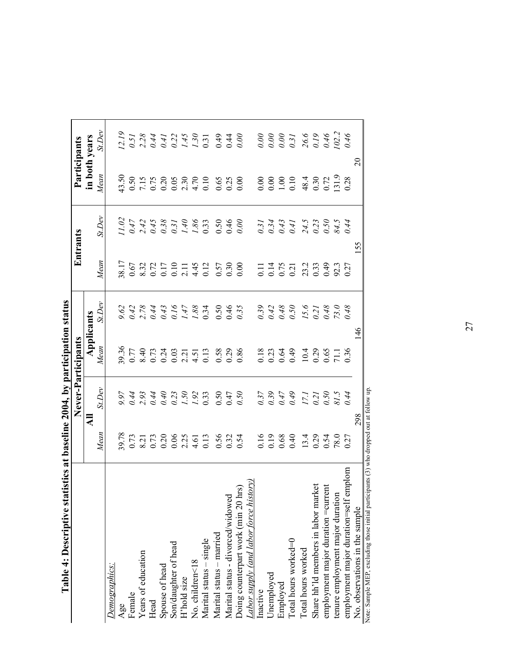| THE ALL AND DESCRIPTION SERVISOR                                          |      |                    |                                           |               |      |          |               |                               |
|---------------------------------------------------------------------------|------|--------------------|-------------------------------------------|---------------|------|----------|---------------|-------------------------------|
|                                                                           |      | Never-Participants |                                           |               |      | Entrants | Participants  |                               |
|                                                                           |      | ₹                  |                                           |               |      |          | in both years |                               |
|                                                                           | Mean | St.Dev             | $\frac{\text{Applications}}{\text{Mean}}$ | St.Dev        | Mean | St.Dev   | Mean          | $\mathit{\underline{St.Dev}}$ |
| Demographics:                                                             |      |                    |                                           |               |      |          |               |                               |
| Age                                                                       |      |                    |                                           |               |      |          |               |                               |
| Female                                                                    |      |                    |                                           |               |      |          |               |                               |
| Years of education                                                        |      |                    |                                           |               |      |          |               |                               |
| Head                                                                      |      |                    |                                           |               |      |          |               |                               |
| Spouse of head                                                            |      |                    |                                           |               |      |          |               |                               |
| Son/daughter of head                                                      |      |                    |                                           |               |      |          |               |                               |
| H'hold size                                                               |      |                    |                                           |               |      |          |               |                               |
| No. children<18                                                           |      |                    |                                           |               |      |          |               |                               |
| Marital status - single                                                   |      |                    |                                           |               |      |          |               |                               |
| Marital status - married                                                  |      |                    |                                           |               |      |          |               |                               |
| Marital status - divorced/widowed                                         |      |                    |                                           |               |      |          |               |                               |
| ত<br>Doing counterpart work (min 20 hı                                    |      |                    |                                           |               |      |          |               |                               |
| Labor supply (and labor force history)                                    |      |                    |                                           |               |      |          |               |                               |
| Inactive                                                                  |      |                    |                                           |               |      |          |               |                               |
| Unemployed                                                                |      |                    |                                           |               |      |          |               |                               |
| Employed                                                                  |      |                    |                                           |               |      |          |               |                               |
| Total hours worked=0                                                      |      |                    |                                           |               |      |          |               |                               |
| Total hours worked                                                        |      |                    |                                           |               |      |          |               |                               |
| Share hh'ld members in labor market<br>employment major duration =current |      |                    |                                           |               |      |          |               |                               |
|                                                                           |      |                    |                                           |               |      |          |               |                               |
| tenure employment major duration                                          |      |                    |                                           |               |      |          |               |                               |
| employment major duration=self en                                         |      |                    |                                           |               |      |          |               |                               |
| No. observations in the sample                                            |      | 298                |                                           | $\frac{9}{4}$ |      | 55       |               | $\Omega$                      |

Table 4: Descriptive statistics at baseline 2004, by participation status **Table 4: Descriptive statistics at baseline 2004, by participation status** 

 $\frac{2000}{\pi}$  and MEP, excluding those initial participants (3) who dropped out at follow up. Note: Sample MEP, excluding those initial participants (3) who dropped out at follow up.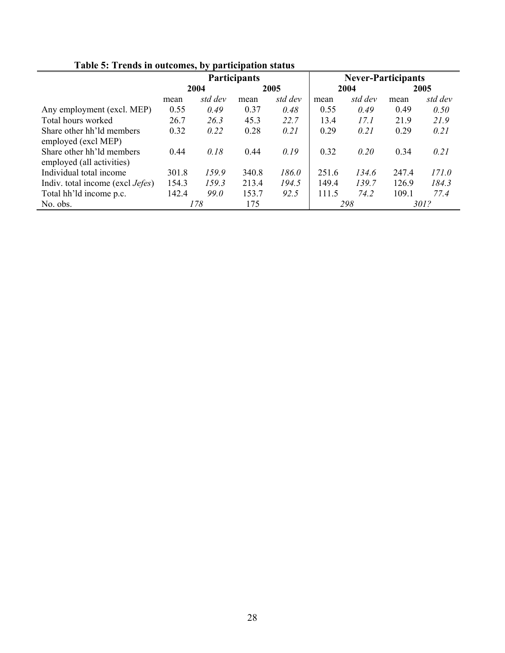|                                          |       |             | <b>Participants</b> |         |       | <b>Never-Participants</b> |       |         |
|------------------------------------------|-------|-------------|---------------------|---------|-------|---------------------------|-------|---------|
|                                          |       | 2004        |                     | 2005    |       | 2004                      |       | 2005    |
|                                          | mean  | std dev     | mean                | std dev | mean  | std dev                   | mean  | std dev |
| Any employment (excl. MEP)               | 0.55  | 0.49        | 0.37                | 0.48    | 0.55  | 0.49                      | 0.49  | 0.50    |
| Total hours worked                       | 26.7  | 26.3        | 45.3                | 22.7    | 13.4  | 17.1                      | 21.9  | 21.9    |
| Share other hh'ld members                | 0.32  | 0.22        | 0.28                | 0.21    | 0.29  | 0.21                      | 0.29  | 0.21    |
| employed (excl MEP)                      |       |             |                     |         |       |                           |       |         |
| Share other hh'ld members                | 0.44  | 0.18        | 0.44                | 0.19    | 0.32  | 0.20                      | 0.34  | 0.21    |
| employed (all activities)                |       |             |                     |         |       |                           |       |         |
| Individual total income                  | 301.8 | 159.9       | 340.8               | 186.0   | 251.6 | 134.6                     | 247.4 | 171.0   |
| Indiv. total income (excl <i>Jefes</i> ) | 154.3 | 159.3       | 213.4               | 194.5   | 149.4 | 139.7                     | 126.9 | 184.3   |
| Total hh'ld income p.c.                  | 142.4 | <i>99.0</i> | 153.7               | 92.5    | 111.5 | 74.2                      | 109.1 | 77.4    |
| No. obs.                                 |       | 178         | 175                 |         |       | 298                       |       | 301?    |

**Table 5: Trends in outcomes, by participation status**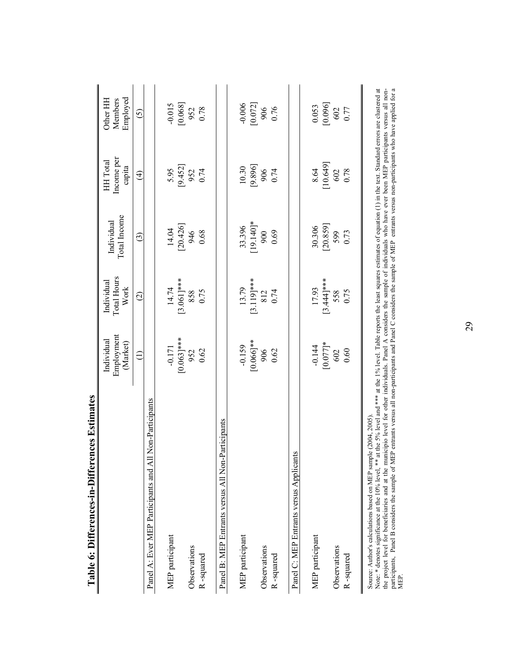| <b>TADIE O: DINGLADE FRAME IN EXPLAINANCE CONTRACTS</b>                                                                                                                                                               |                                                                                                                                              |                                          |                                                                |                                                |                                                                      |
|-----------------------------------------------------------------------------------------------------------------------------------------------------------------------------------------------------------------------|----------------------------------------------------------------------------------------------------------------------------------------------|------------------------------------------|----------------------------------------------------------------|------------------------------------------------|----------------------------------------------------------------------|
|                                                                                                                                                                                                                       | Employment<br>Individual<br>(Market)                                                                                                         | Total Hours<br>Individual<br>Work        | Total Income<br>Individual                                     | Income per<br>HH Total<br>capita               | Employed<br>Members<br>Other HH                                      |
|                                                                                                                                                                                                                       | €                                                                                                                                            | $\widehat{c}$                            | $\widehat{c}$                                                  | $\bigoplus$                                    | $\widehat{c}$                                                        |
| on-Participants<br>Panel A: Ever MEP Participants and All N                                                                                                                                                           |                                                                                                                                              |                                          |                                                                |                                                |                                                                      |
| MEP participant                                                                                                                                                                                                       | $-0.171$                                                                                                                                     | $14.74$<br>[3.061]***<br>858<br>858      |                                                                |                                                |                                                                      |
|                                                                                                                                                                                                                       |                                                                                                                                              |                                          | $\begin{bmatrix} 14.04 \\ 20.426 \end{bmatrix}$<br>946<br>0.68 | 5.95<br>[9.452]<br>952<br>0.74                 | $\begin{bmatrix} 0.015 \\ 0.068 \end{bmatrix}$<br>952<br>952<br>0.78 |
| Observations                                                                                                                                                                                                          |                                                                                                                                              |                                          |                                                                |                                                |                                                                      |
| R-squared                                                                                                                                                                                                             | $\begin{bmatrix} 0.063 \\ 952 \\ 0.063 \end{bmatrix}$ ***<br>952                                                                             |                                          |                                                                |                                                |                                                                      |
| ticipants<br>Panel B: MEP Entrants versus All Non-Par                                                                                                                                                                 |                                                                                                                                              |                                          |                                                                |                                                |                                                                      |
| MEP participant                                                                                                                                                                                                       | $-0.159$<br>[0.066]**<br>906                                                                                                                 | $13.79$<br>[3.119]***<br>812             |                                                                |                                                |                                                                      |
|                                                                                                                                                                                                                       |                                                                                                                                              |                                          | $33.396$<br>[19.140]*<br>900                                   | $\begin{bmatrix} 10.30 \\ 9.896 \end{bmatrix}$ | $\frac{0.006}{[0.072]}$<br>906                                       |
| Observations                                                                                                                                                                                                          |                                                                                                                                              |                                          |                                                                |                                                |                                                                      |
| R-squared                                                                                                                                                                                                             | 0.62                                                                                                                                         | 0.74                                     | 0.69                                                           | 0.74                                           | 0.76                                                                 |
| Panel C: MEP Entrants versus Applicants                                                                                                                                                                               |                                                                                                                                              |                                          |                                                                |                                                |                                                                      |
| MEP participant                                                                                                                                                                                                       | $-0.144$                                                                                                                                     | $17.93$<br>$[3.44]***$<br>$558$<br>$558$ | 30.306                                                         | 8.64                                           | 0.053                                                                |
|                                                                                                                                                                                                                       | $[0.077]$ *                                                                                                                                  |                                          | [20.859]                                                       | [10.649]                                       | [0.096]                                                              |
| Observations                                                                                                                                                                                                          | 602                                                                                                                                          |                                          | 599                                                            | 602<br>0.78                                    | 602                                                                  |
| R-squared                                                                                                                                                                                                             | 0.60                                                                                                                                         |                                          | 0.73                                                           |                                                | 0.77                                                                 |
| $\frac{1}{2}$ learned $\frac{1}{2}$<br>2004, 2005)<br>Note: * denotes significance at the 10% level, ** at th<br>Source: Author's calculations based on MEP sample (<br>the second four feathers finding and at the : | ne 5% level and *** at the 1% level. Table reports the least squares estimates of equation (1) in the text. Standard errors are clustered at |                                          | .<br>- الم                                                     |                                                |                                                                      |

Table 6: Differences-in-Differences Estimates  **Table 6: Differences-in-Differences Estimates**

the project level for beneficiaries and at the municipio level for other individuals. Panel A considers the sample of individuals who have ever been MEP participants versus all nonparticipants, Panel B considers the sample of MEP entrants versus all non-participants and Panel C considers the sample of MEP entrants versus non-participants who have applied for a the project level for beneficiaries and at the municipio level for other individuals. Panel A considers the sample of individuals who have ever been MEP participants versus all non-<br>participants, Panel B considers the samp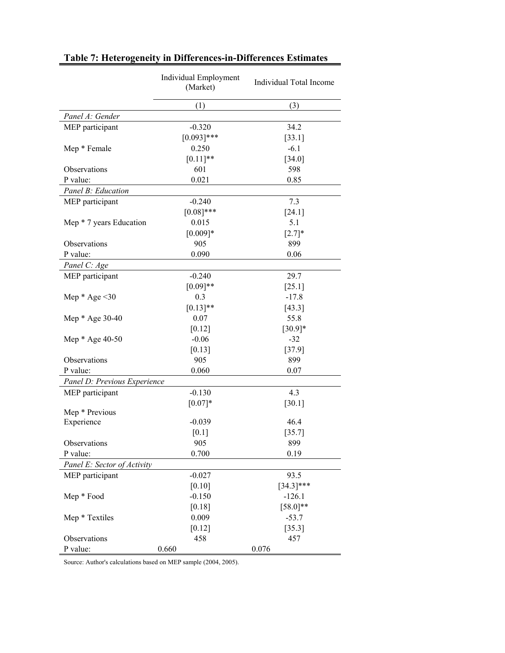|                              | Individual Employment<br>(Market) | Individual Total Income |
|------------------------------|-----------------------------------|-------------------------|
|                              | (1)                               | (3)                     |
| Panel A: Gender              |                                   |                         |
| MEP participant              | $-0.320$                          | 34.2                    |
|                              | $[0.093]$ ***                     | $[33.1]$                |
| Mep * Female                 | 0.250                             | $-6.1$                  |
|                              | $[0.11]$ **                       | [34.0]                  |
| Observations                 | 601                               | 598                     |
| P value:                     | 0.021                             | 0.85                    |
| Panel B: Education           |                                   |                         |
| MEP participant              | $-0.240$                          | 7.3                     |
|                              | $[0.08]$ ***                      | [24.1]                  |
| Mep * 7 years Education      | 0.015                             | 5.1                     |
|                              | $[0.009]*$                        | $[2.7]*$                |
| Observations                 | 905                               | 899                     |
| P value:                     | 0.090                             | 0.06                    |
| Panel C: Age                 |                                   |                         |
| MEP participant              | $-0.240$                          | 29.7                    |
|                              | $[0.09]**$                        | $[25.1]$                |
| Mep $*$ Age < 30             | 0.3                               | $-17.8$                 |
|                              | $[0.13]$ **                       | [43.3]                  |
| Mep * Age 30-40              | 0.07                              | 55.8                    |
|                              | [0.12]                            | $[30.9]*$               |
| Mep * Age 40-50              | $-0.06$                           | $-32$                   |
|                              | [0.13]                            | [37.9]                  |
| Observations                 | 905                               | 899                     |
| P value:                     | 0.060                             | 0.07                    |
| Panel D: Previous Experience |                                   |                         |
| MEP participant              | $-0.130$                          | 4.3                     |
|                              | $[0.07]*$                         | $[30.1]$                |
| Mep * Previous               |                                   |                         |
| Experience                   | $-0.039$                          | 46.4                    |
|                              | [0.1]                             | [35.7]                  |
| Observations                 | 905                               | 899                     |
| P value:                     | 0.700                             | 0.19                    |
| Panel E: Sector of Activity  |                                   |                         |
| MEP participant              | $-0.027$                          | 93.5                    |
|                              | $[0.10]$                          | $[34.3]$ ***            |
| Mep * Food                   | $-0.150$                          | $-126.1$                |
|                              | [0.18]                            | $[58.0]$ **             |
| Mep * Textiles               | 0.009                             | $-53.7$                 |
|                              | $[0.12]$                          | $[35.3]$                |
| Observations                 | 458                               | 457                     |
| P value:                     | 0.660                             | 0.076                   |

# **Table 7: Heterogeneity in Differences-in-Differences Estimates**

Source: Author's calculations based on MEP sample (2004, 2005).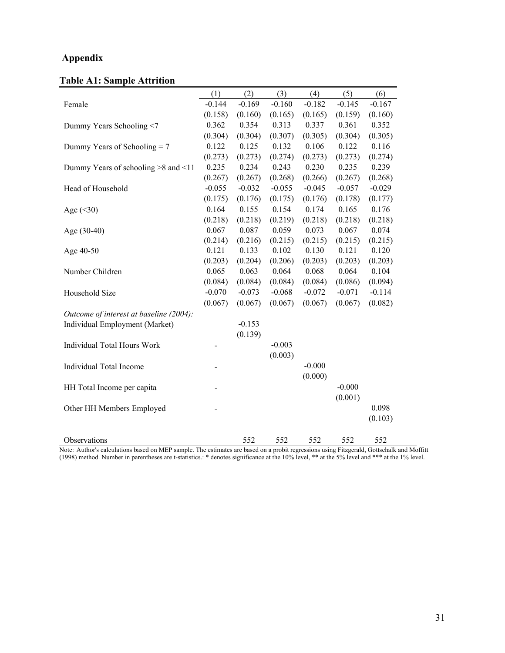# **Appendix**

# **Table A1: Sample Attrition**

|                                         | (1)      | (2)      | (3)      | (4)      | (5)      | (6)      |
|-----------------------------------------|----------|----------|----------|----------|----------|----------|
| Female                                  | $-0.144$ | $-0.169$ | $-0.160$ | $-0.182$ | $-0.145$ | $-0.167$ |
|                                         | (0.158)  | (0.160)  | (0.165)  | (0.165)  | (0.159)  | (0.160)  |
| Dummy Years Schooling <7                | 0.362    | 0.354    | 0.313    | 0.337    | 0.361    | 0.352    |
|                                         | (0.304)  | (0.304)  | (0.307)  | (0.305)  | (0.304)  | (0.305)  |
| Dummy Years of Schooling $= 7$          | 0.122    | 0.125    | 0.132    | 0.106    | 0.122    | 0.116    |
|                                         | (0.273)  | (0.273)  | (0.274)  | (0.273)  | (0.273)  | (0.274)  |
| Dummy Years of schooling $>8$ and $<11$ | 0.235    | 0.234    | 0.243    | 0.230    | 0.235    | 0.239    |
|                                         | (0.267)  | (0.267)  | (0.268)  | (0.266)  | (0.267)  | (0.268)  |
| Head of Household                       | $-0.055$ | $-0.032$ | $-0.055$ | $-0.045$ | $-0.057$ | $-0.029$ |
|                                         | (0.175)  | (0.176)  | (0.175)  | (0.176)  | (0.178)  | (0.177)  |
| Age $(<30)$                             | 0.164    | 0.155    | 0.154    | 0.174    | 0.165    | 0.176    |
|                                         | (0.218)  | (0.218)  | (0.219)  | (0.218)  | (0.218)  | (0.218)  |
| Age (30-40)                             | 0.067    | 0.087    | 0.059    | 0.073    | 0.067    | 0.074    |
|                                         | (0.214)  | (0.216)  | (0.215)  | (0.215)  | (0.215)  | (0.215)  |
| Age 40-50                               | 0.121    | 0.133    | 0.102    | 0.130    | 0.121    | 0.120    |
|                                         | (0.203)  | (0.204)  | (0.206)  | (0.203)  | (0.203)  | (0.203)  |
| Number Children                         | 0.065    | 0.063    | 0.064    | 0.068    | 0.064    | 0.104    |
|                                         | (0.084)  | (0.084)  | (0.084)  | (0.084)  | (0.086)  | (0.094)  |
| Household Size                          | $-0.070$ | $-0.073$ | $-0.068$ | $-0.072$ | $-0.071$ | $-0.114$ |
|                                         | (0.067)  | (0.067)  | (0.067)  | (0.067)  | (0.067)  | (0.082)  |
| Outcome of interest at baseline (2004): |          |          |          |          |          |          |
| Individual Employment (Market)          |          | $-0.153$ |          |          |          |          |
|                                         |          | (0.139)  |          |          |          |          |
| <b>Individual Total Hours Work</b>      |          |          | $-0.003$ |          |          |          |
|                                         |          |          | (0.003)  |          |          |          |
| <b>Individual Total Income</b>          |          |          |          | $-0.000$ |          |          |
|                                         |          |          |          | (0.000)  |          |          |
| HH Total Income per capita              |          |          |          |          | $-0.000$ |          |
|                                         |          |          |          |          | (0.001)  |          |
| Other HH Members Employed               |          |          |          |          |          | 0.098    |
|                                         |          |          |          |          |          | (0.103)  |
|                                         |          |          |          |          |          |          |
| Observations                            |          | 552      | 552      | 552      | 552      | 552      |

Note: Author's calculations based on MEP sample. The estimates are based on a probit regressions using Fitzgerald, Gottschalk and Moffitt (1998) method. Number in parentheses are t-statistics.: \* denotes significance at the 10% level, \*\* at the 5% level and \*\*\* at the 1% level.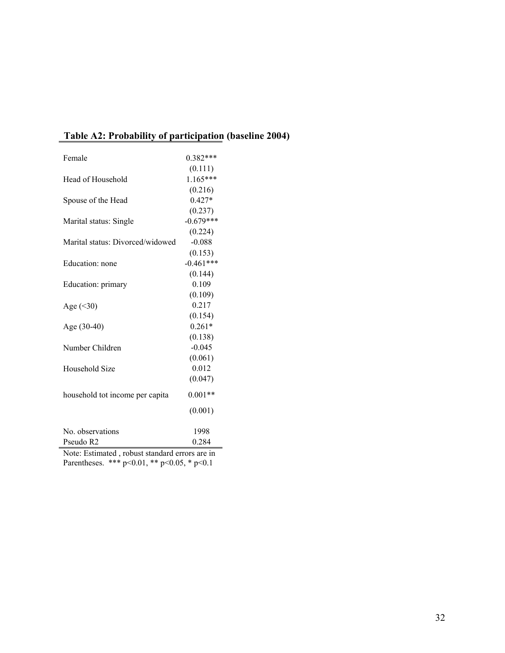| Table A2: Probability of participation (baseline 2004) |  |  |
|--------------------------------------------------------|--|--|
|                                                        |  |  |

| Female                               | $0.382***$  |
|--------------------------------------|-------------|
|                                      | (0.111)     |
| Head of Household                    | $1.165***$  |
|                                      | (0.216)     |
| Spouse of the Head                   | $0.427*$    |
|                                      | (0.237)     |
| Marital status: Single               | $-0.679***$ |
|                                      | (0.224)     |
| Marital status: Divorced/widowed     | $-0.088$    |
|                                      | (0.153)     |
| Education: none                      | $-0.461***$ |
|                                      | (0.144)     |
| Education: primary                   | 0.109       |
|                                      | (0.109)     |
| Age $(<30)$                          | 0.217       |
|                                      | (0.154)     |
| Age (30-40)                          | $0.261*$    |
|                                      | (0.138)     |
| Number Children                      | $-0.045$    |
|                                      | (0.061)     |
| Household Size                       | 0.012       |
|                                      | (0.047)     |
| household tot income per capita      | $0.001**$   |
|                                      | (0.001)     |
| No. observations                     | 1998        |
| Pseudo R2                            | 0.284       |
| Moto: Estimated report standard area |             |

Note: Estimated , robust standard errors are in Parentheses. \*\*\* p<0.01, \*\* p<0.05, \* p<0.1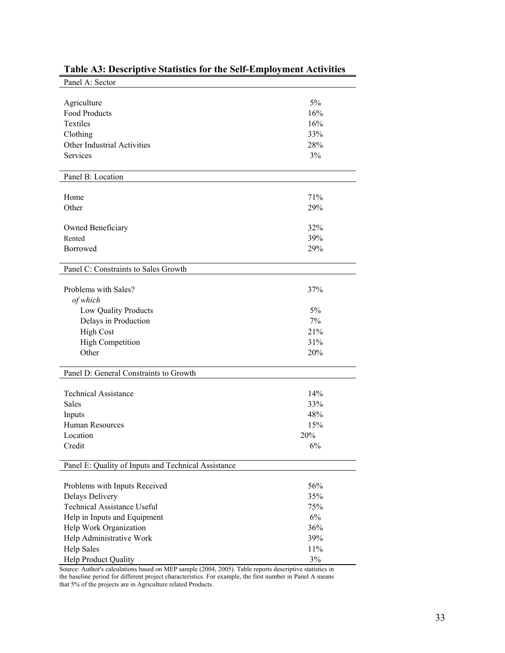| Panel A: Sector                                         |            |
|---------------------------------------------------------|------------|
|                                                         |            |
| Agriculture                                             | 5%         |
| Food Products                                           | 16%        |
| Textiles                                                | 16%        |
| Clothing                                                | 33%        |
| Other Industrial Activities                             | 28%        |
| <b>Services</b>                                         | 3%         |
| Panel B: Location                                       |            |
| Home                                                    | 71%        |
| Other                                                   | 29%        |
|                                                         |            |
| Owned Beneficiary                                       | 32%        |
| Rented                                                  | 39%        |
| Borrowed                                                | 29%        |
|                                                         |            |
| Panel C: Constraints to Sales Growth                    |            |
| Problems with Sales?                                    | 37%        |
| of which                                                |            |
| Low Quality Products                                    | 5%         |
| Delays in Production                                    | 7%         |
| <b>High Cost</b>                                        | 21%        |
| <b>High Competition</b>                                 | 31%        |
| Other                                                   | 20%        |
| Panel D: General Constraints to Growth                  |            |
|                                                         |            |
| <b>Technical Assistance</b>                             | 14%        |
| <b>Sales</b>                                            | 33%        |
| Inputs                                                  | 48%        |
| Human Resources                                         | 15%        |
| Location                                                | 20%        |
| Credit                                                  | 6%         |
| Panel E: Quality of Inputs and Technical Assistance     |            |
|                                                         |            |
| Problems with Inputs Received<br><b>Delays Delivery</b> | 56%<br>35% |
| <b>Technical Assistance Useful</b>                      | 75%        |
| Help in Inputs and Equipment                            | 6%         |
| Help Work Organization                                  | 36%        |
|                                                         | 39%        |
| Help Administrative Work                                | 11%        |
| <b>Help Sales</b>                                       |            |
| Help Product Quality                                    | $3\%$      |

# **Table A3: Descriptive Statistics for the Self-Employment Activities**

Source: Author's calculations based on MEP sample (2004, 2005). Table reports descriptive statistics in the baseline period for different project characteristics. For example, the first number in Panel A means that 5% of the projects are in Agriculture related Products.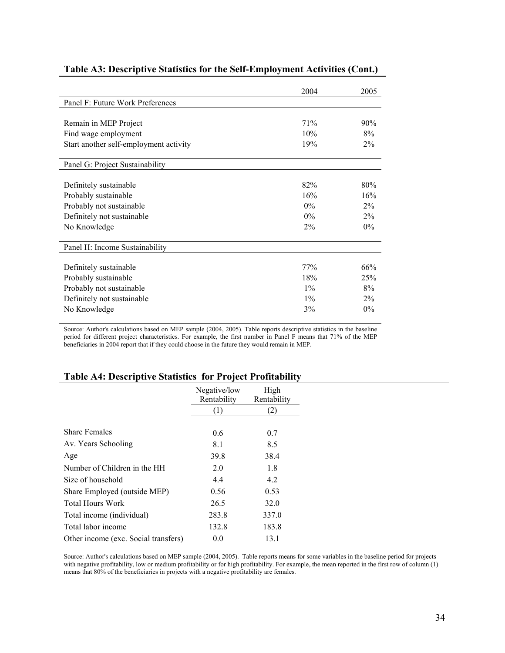|                                        | 2004  | 2005  |
|----------------------------------------|-------|-------|
| Panel F: Future Work Preferences       |       |       |
|                                        |       |       |
| Remain in MEP Project                  | 71%   | 90%   |
| Find wage employment                   | 10%   | 8%    |
| Start another self-employment activity | 19%   | $2\%$ |
| Panel G: Project Sustainability        |       |       |
| Definitely sustainable                 | 82%   | 80%   |
| Probably sustainable                   | 16%   | 16%   |
| Probably not sustainable               | $0\%$ | $2\%$ |
| Definitely not sustainable             | $0\%$ | $2\%$ |
| No Knowledge                           | $2\%$ | $0\%$ |
| Panel H: Income Sustainability         |       |       |
| Definitely sustainable                 | 77%   | 66%   |
| Probably sustainable                   | 18%   | 25%   |
| Probably not sustainable               | $1\%$ | 8%    |
| Definitely not sustainable             | $1\%$ | $2\%$ |
| No Knowledge                           | 3%    | $0\%$ |

# **Table A3: Descriptive Statistics for the Self-Employment Activities (Cont.)**

Source: Author's calculations based on MEP sample (2004, 2005). Table reports descriptive statistics in the baseline period for different project characteristics. For example, the first number in Panel F means that 71% of the MEP beneficiaries in 2004 report that if they could choose in the future they would remain in MEP.

# **Table A4: Descriptive Statistics for Project Profitability**

|                                      | Negative/low<br>Rentability | High<br>Rentability |
|--------------------------------------|-----------------------------|---------------------|
|                                      | $\left(1\right)$            | $\left( 2\right)$   |
|                                      |                             |                     |
| <b>Share Females</b>                 | 0.6                         | 0.7                 |
| Av. Years Schooling                  | 8.1                         | 8.5                 |
| Age                                  | 39.8                        | 38.4                |
| Number of Children in the HH         | 2.0                         | 1.8                 |
| Size of household                    | 4.4                         | 4.2                 |
| Share Employed (outside MEP)         | 0.56                        | 0.53                |
| <b>Total Hours Work</b>              | 26.5                        | 32.0                |
| Total income (individual)            | 283.8                       | 337.0               |
| Total labor income                   | 132.8                       | 183.8               |
| Other income (exc. Social transfers) | 0.0                         | 13.1                |

Source: Author's calculations based on MEP sample (2004, 2005). Table reports means for some variables in the baseline period for projects with negative profitability, low or medium profitability or for high profitability. For example, the mean reported in the first row of column (1) means that 80% of the beneficiaries in projects with a negative profitability are females.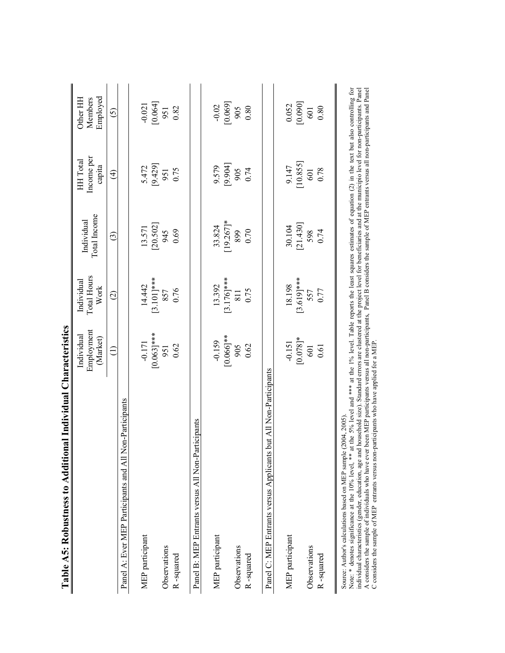| nal Individual Characteristics<br>Table A5: Robustness to Additio                                                                                                                                                                                                                                                                                                                                                                 |                                      |                                   |                                     |                                  |                                 |
|-----------------------------------------------------------------------------------------------------------------------------------------------------------------------------------------------------------------------------------------------------------------------------------------------------------------------------------------------------------------------------------------------------------------------------------|--------------------------------------|-----------------------------------|-------------------------------------|----------------------------------|---------------------------------|
|                                                                                                                                                                                                                                                                                                                                                                                                                                   | Employment<br>Individual<br>(Market) | Total Hours<br>Individual<br>Work | Total Income<br>Individual          | Income per<br>HH Total<br>capita | Employed<br>Other HH<br>Members |
|                                                                                                                                                                                                                                                                                                                                                                                                                                   | ∈                                    | $\odot$                           | $\odot$                             | $\widehat{\mathfrak{t}}$         | <u>ර</u>                        |
| Non-Participants<br>Panel A: Ever MEP Participants and All                                                                                                                                                                                                                                                                                                                                                                        |                                      |                                   |                                     |                                  |                                 |
| MEP participant                                                                                                                                                                                                                                                                                                                                                                                                                   | $-0.171$                             | 14.442                            | 13.571                              | 5.472                            |                                 |
|                                                                                                                                                                                                                                                                                                                                                                                                                                   |                                      | $[3.101]$ ***                     | [20.502]                            | [9.429]                          | $-0.021$<br>[0.064]             |
| Observations                                                                                                                                                                                                                                                                                                                                                                                                                      | $[0.063]***$                         |                                   | 945                                 | 951                              | 951                             |
| R-squared                                                                                                                                                                                                                                                                                                                                                                                                                         | 0.62                                 | 857<br>0.76                       | 0.69                                | 0.75                             | 0.82                            |
| Panel B: MEP Entrants versus All Non-Participants                                                                                                                                                                                                                                                                                                                                                                                 |                                      |                                   |                                     |                                  |                                 |
| MEP participant                                                                                                                                                                                                                                                                                                                                                                                                                   | $-0.159$                             | 13.392                            | 33.824                              | 9.579                            | $-0.02$                         |
|                                                                                                                                                                                                                                                                                                                                                                                                                                   | $[0.066]$ **                         | $[3.176]***$                      | $[19.267]$ *                        | [9.904]                          | [0.069]                         |
| Observations                                                                                                                                                                                                                                                                                                                                                                                                                      | 905                                  | 811                               | 899                                 | 905                              | 905                             |
| R-squared                                                                                                                                                                                                                                                                                                                                                                                                                         | 0.62                                 | 0.75                              | 0.70                                | 0.74                             | 0.80                            |
| Panel C: MEP Entrants versus Applicants but All Non-Participants                                                                                                                                                                                                                                                                                                                                                                  |                                      |                                   |                                     |                                  |                                 |
| MEP participant                                                                                                                                                                                                                                                                                                                                                                                                                   | $-0.151$                             | 18.198                            | 30.104                              | 9.147                            |                                 |
|                                                                                                                                                                                                                                                                                                                                                                                                                                   | $[0.078]$ *                          | $[3.619]***$                      | [21.430]                            | [10.855]                         | [0.052]                         |
| Observations                                                                                                                                                                                                                                                                                                                                                                                                                      | 601                                  | 557                               | 598                                 | 601                              | 601                             |
| R-squared                                                                                                                                                                                                                                                                                                                                                                                                                         | 0.61                                 | 0.77                              | 0.74                                | 0.78                             | 0.80                            |
| at the 5% level and **** at the 1% level. Table reports the least squares estimates of equation (2) in the text but also controlling for<br>$C_{\rm {for}}$<br>$\frac{1}{2}$ and also accepted and $\frac{1}{2}$ and $\frac{1}{2}$ and $\frac{1}{2}$ and $\frac{1}{2}$ and $\frac{1}{2}$ and $\frac{1}{2}$<br>Source: Author's calculations based on MEP sample (2004, 2005)<br>Note: * denotes significance at the 10% level, ** |                                      | coloctored at the project.        | $ad$ of the<br>and for hangfainting | $\sin 1$                         | $c_{\text{transfer}}$           |

individual characteristics (gender, education, age and household size). Standard errors are clustered at the project level for beneficiaries and at the municipio level for non-participants. Panel<br>A considers the sample of individual characteristics (gender, education, age and household size). Standard errors are clustered at the project level for beneficiaries and at the municipio level for non-participants. Panel A considers the sample of individuals who have ever been MEP participants versus all non-participants, Panel B considers the sample of MEP entrants versus all non-participants and Panel C considers the sample of MEP entrants versus non-participants who have applied for a MEP.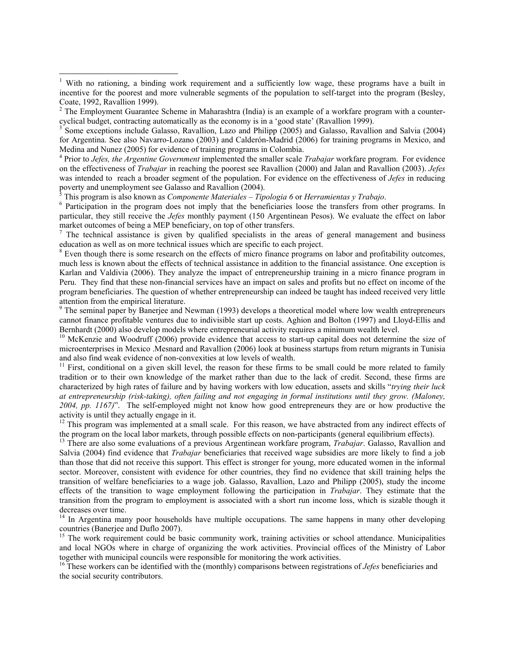4 Prior to *Jefes, the Argentine Government* implemented the smaller scale *Trabajar* workfare program. For evidence on the effectiveness of *Trabajar* in reaching the poorest see Ravallion (2000) and Jalan and Ravallion (2003). *Jefes* was intended to reach a broader segment of the population. For evidence on the effectiveness of *Jefes* in reducing poverty and unemployment see Galasso and Ravallion (2004).<br><sup>5</sup> This program is also known as *Components Materiales* Tip.

This program is also known as *Componente Materiales* – *Tipologia 6* or *Herramientas y Trabajo*. 6

 $\overline{a}$ 

<sup>6</sup> Participation in the program does not imply that the beneficiaries loose the transfers from other programs. In particular, they still receive the *Jefes* monthly payment (150 Argentinean Pesos). We evaluate the effect on labor market outcomes of being a MEP beneficiary, on top of other transfers.

<sup>7</sup> The technical assistance is given by qualified specialists in the areas of general management and business education as well as on more technical issues which are specific to each project. 8

<sup>8</sup> Even though there is some research on the effects of micro finance programs on labor and profitability outcomes, much less is known about the effects of technical assistance in addition to the financial assistance. One exception is Karlan and Valdivia (2006). They analyze the impact of entrepreneurship training in a micro finance program in Peru. They find that these non-financial services have an impact on sales and profits but no effect on income of the program beneficiaries. The question of whether entrepreneurship can indeed be taught has indeed received very little attention from the empirical literature.

<sup>9</sup> The seminal paper by Banerjee and Newman (1993) develops a theoretical model where low wealth entrepreneurs cannot finance profitable ventures due to indivisible start up costs. Aghion and Bolton (1997) and Lloyd-Ellis and Bernhardt (2000) also develop models where entrepreneurial activity requires a minimum wealth level.<br><sup>10</sup> McKenzie and Woodruff (2006) provide evidence that access to start-up capital does not determine the size of

microenterprises in Mexico .Mesnard and Ravallion (2006) look at business startups from return migrants in Tunisia and also find weak evidence of non-convexities at low levels of wealth.

 $11$  First, conditional on a given skill level, the reason for these firms to be small could be more related to family tradition or to their own knowledge of the market rather than due to the lack of credit. Second, these firms are characterized by high rates of failure and by having workers with low education, assets and skills "*trying their luck at entrepreneurship (risk-taking), often failing and not engaging in formal institutions until they grow. (Maloney, 2004, pp. 1167)*". The self-employed might not know how good entrepreneurs they are or how productive the activity is until they actually engage in it.

 $12$  This program was implemented at a small scale. For this reason, we have abstracted from any indirect effects of the program on the local labor markets, through possible effects on non-participants (general equilibrium effects).

13 There are also some evaluations of a previous Argentinean workfare program, *Trabajar*. Galasso, Ravallion and Salvia (2004) find evidence that *Trabajar* beneficiaries that received wage subsidies are more likely to find a job than those that did not receive this support. This effect is stronger for young, more educated women in the informal sector. Moreover, consistent with evidence for other countries, they find no evidence that skill training helps the transition of welfare beneficiaries to a wage job. Galasso, Ravallion, Lazo and Philipp (2005), study the income effects of the transition to wage employment following the participation in *Trabajar*. They estimate that the transition from the program to employment is associated with a short run income loss, which is sizable though it decreases over time.

 $14$  In Argentina many poor households have multiple occupations. The same happens in many other developing countries (Banerjee and Duflo 2007).

<sup>15</sup> The work requirement could be basic community work, training activities or school attendance. Municipalities and local NGOs where in charge of organizing the work activities. Provincial offices of the Ministry of Labor together with municipal councils were responsible for monitoring the work activities.

16 These workers can be identified with the (monthly) comparisons between registrations of *Jefes* beneficiaries and the social security contributors.

<sup>&</sup>lt;sup>1</sup> With no rationing, a binding work requirement and a sufficiently low wage, these programs have a built in incentive for the poorest and more vulnerable segments of the population to self-target into the program (Besley,

Coate, 1992, Ravallion 1999).<br><sup>2</sup> The Employment Guarantee Scheme in Maharashtra (India) is an example of a workfare program with a countercyclical budget, contracting automatically as the economy is in a 'good state' (Ravallion 1999).

Some exceptions include Galasso, Ravallion, Lazo and Philipp (2005) and Galasso, Ravallion and Salvia (2004) for Argentina. See also Navarro-Lozano (2003) and Calderón-Madrid (2006) for training programs in Mexico, and Medina and Nunez (2005) for evidence of training programs in Colombia.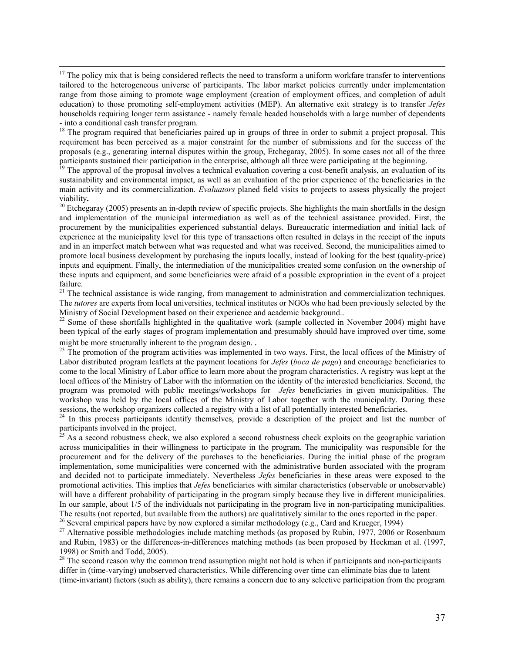$17$  The policy mix that is being considered reflects the need to transform a uniform workfare transfer to interventions tailored to the heterogeneous universe of participants. The labor market policies currently under implementation range from those aiming to promote wage employment (creation of employment offices, and completion of adult education) to those promoting self-employment activities (MEP). An alternative exit strategy is to transfer *Jefes* households requiring longer term assistance - namely female headed households with a large number of dependents - into a conditional cash transfer program.

<sup>18</sup> The program required that beneficiaries paired up in groups of three in order to submit a project proposal. This requirement has been perceived as a major constraint for the number of submissions and for the success of the proposals (e.g., generating internal disputes within the group, Etchegaray, 2005). In some cases not all of the three participants sustained their participation in the enterprise, although all three were participating at the beginning.<br><sup>19</sup> The approval of the proposal involves a technical evaluation covering a cost-benefit analysis, an e

sustainability and environmental impact, as well as an evaluation of the prior experience of the beneficiaries in the main activity and its commercialization. *Evaluators* planed field visits to projects to assess physically the project viability.<br><sup>20</sup> Etchegaray (2005) presents an in-depth review of specific projects. She highlights the main shortfalls in the design

and implementation of the municipal intermediation as well as of the technical assistance provided. First, the procurement by the municipalities experienced substantial delays. Bureaucratic intermediation and initial lack of experience at the municipality level for this type of transactions often resulted in delays in the receipt of the inputs and in an imperfect match between what was requested and what was received. Second, the municipalities aimed to promote local business development by purchasing the inputs locally, instead of looking for the best (quality-price) inputs and equipment. Finally, the intermediation of the municipalities created some confusion on the ownership of these inputs and equipment, and some beneficiaries were afraid of a possible expropriation in the event of a project failure.

 $21$  The technical assistance is wide ranging, from management to administration and commercialization techniques. The *tutores* are experts from local universities, technical institutes or NGOs who had been previously selected by the Ministry of Social Development based on their experience and academic background..

<sup>22</sup> Some of these shortfalls highlighted in the qualitative work (sample collected in November 2004) might have been typical of the early stages of program implementation and presumably should have improved over time, some might be more structurally inherent to the program design. .<br><sup>23</sup> The promotion of the program activities was implemented in two ways. First, the local offices of the Ministry of

Labor distributed program leaflets at the payment locations for *Jefes* (*boca de pago*) and encourage beneficiaries to come to the local Ministry of Labor office to learn more about the program characteristics. A registry was kept at the local offices of the Ministry of Labor with the information on the identity of the interested beneficiaries. Second, the program was promoted with public meetings/workshops for *Jefes* beneficiaries in given municipalities. The workshop was held by the local offices of the Ministry of Labor together with the municipality. During these sessions, the workshop organizers collected a registry with a list of all potentially interested beneficiaries.

 $24$  In this process participants identify themselves, provide a description of the project and list the number of participants involved in the project.

 $^{25}$  As a second robustness check, we also explored a second robustness check exploits on the geographic variation across municipalities in their willingness to participate in the program. The municipality was responsible for the procurement and for the delivery of the purchases to the beneficiaries. During the initial phase of the program implementation, some municipalities were concerned with the administrative burden associated with the program and decided not to participate immediately. Nevertheless *Jefes* beneficiaries in these areas were exposed to the promotional activities. This implies that *Jefes* beneficiaries with similar characteristics (observable or unobservable) will have a different probability of participating in the program simply because they live in different municipalities. In our sample, about  $1/5$  of the individuals not participating in the program live in non-participating municipalities.<br>The results (not reported, but available from the authors) are qualitatively similar to the ones repo <sup>26</sup> Several empirical papers have by now explored a similar methodology (e.g., Card and Krueger, 1994)

<sup>27</sup> Alternative possible methodologies include matching methods (as proposed by Rubin, 1977, 2006 or Rosenbaum and Rubin, 1983) or the differences-in-differences matching methods (as been proposed by Heckman et al. (1997, 1998) or Smith and Todd, 2005).

 $28$  The second reason why the common trend assumption might not hold is when if participants and non-participants differ in (time-varying) unobserved characteristics. While differencing over time can eliminate bias due to latent (time-invariant) factors (such as ability), there remains a concern due to any selective participation from the program